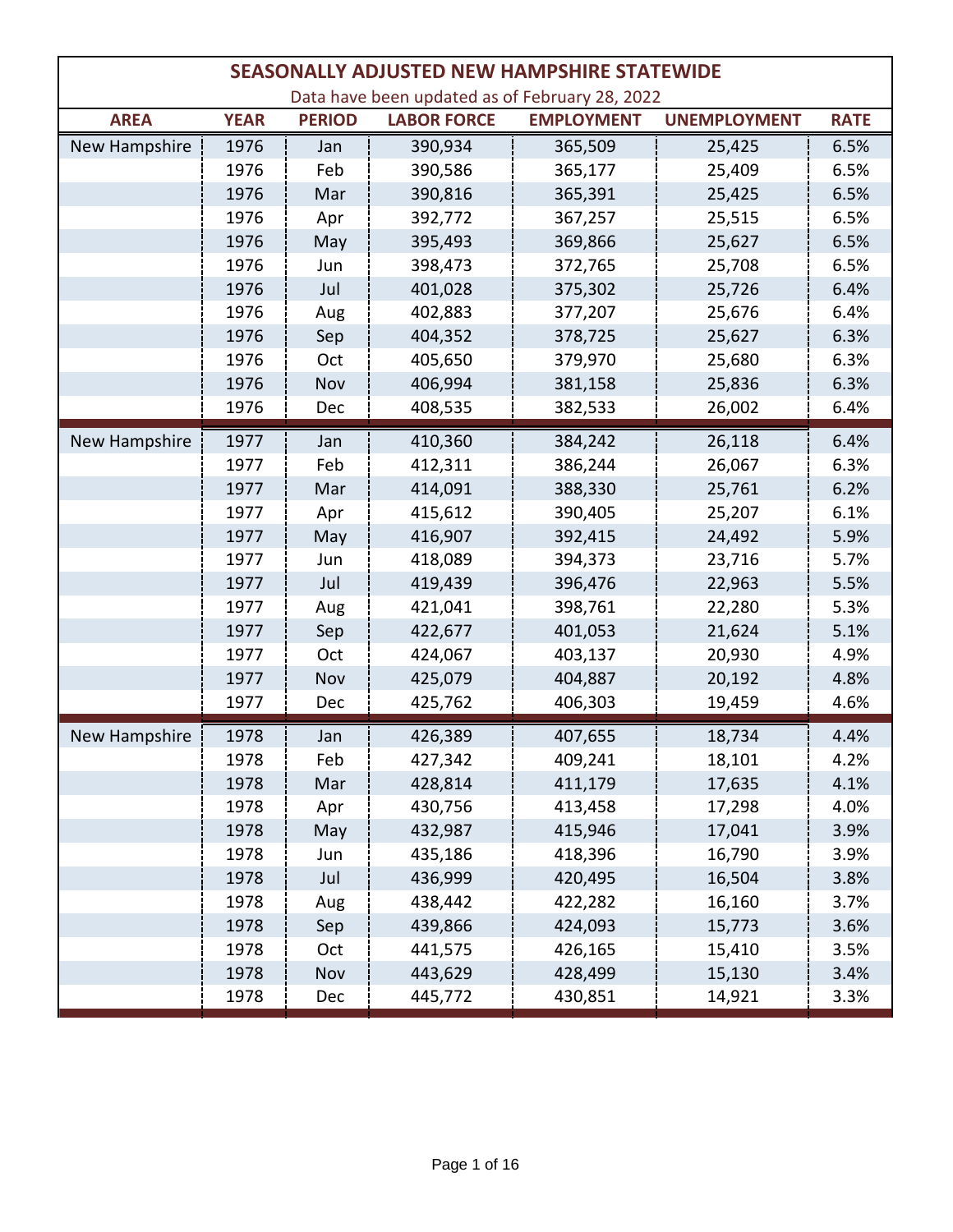|               |             |               | <b>SEASONALLY ADJUSTED NEW HAMPSHIRE STATEWIDE</b> |                   |                     |             |
|---------------|-------------|---------------|----------------------------------------------------|-------------------|---------------------|-------------|
|               |             |               | Data have been updated as of February 28, 2022     |                   |                     |             |
| <b>AREA</b>   | <b>YEAR</b> | <b>PERIOD</b> | <b>LABOR FORCE</b>                                 | <b>EMPLOYMENT</b> | <b>UNEMPLOYMENT</b> | <b>RATE</b> |
| New Hampshire | 1976        | Jan           | 390,934                                            | 365,509           | 25,425              | 6.5%        |
|               | 1976        | Feb           | 390,586                                            | 365,177           | 25,409              | 6.5%        |
|               | 1976        | Mar           | 390,816                                            | 365,391           | 25,425              | 6.5%        |
|               | 1976        | Apr           | 392,772                                            | 367,257           | 25,515              | 6.5%        |
|               | 1976        | May           | 395,493                                            | 369,866           | 25,627              | 6.5%        |
|               | 1976        | Jun           | 398,473                                            | 372,765           | 25,708              | 6.5%        |
|               | 1976        | Jul           | 401,028                                            | 375,302           | 25,726              | 6.4%        |
|               | 1976        | Aug           | 402,883                                            | 377,207           | 25,676              | 6.4%        |
|               | 1976        | Sep           | 404,352                                            | 378,725           | 25,627              | 6.3%        |
|               | 1976        | Oct           | 405,650                                            | 379,970           | 25,680              | 6.3%        |
|               | 1976        | Nov           | 406,994                                            | 381,158           | 25,836              | 6.3%        |
|               | 1976        | Dec           | 408,535                                            | 382,533           | 26,002              | 6.4%        |
| New Hampshire | 1977        | Jan           | 410,360                                            | 384,242           | 26,118              | 6.4%        |
|               | 1977        | Feb           | 412,311                                            | 386,244           | 26,067              | 6.3%        |
|               | 1977        | Mar           | 414,091                                            | 388,330           | 25,761              | 6.2%        |
|               | 1977        | Apr           | 415,612                                            | 390,405           | 25,207              | 6.1%        |
|               | 1977        | May           | 416,907                                            | 392,415           | 24,492              | 5.9%        |
|               | 1977        | Jun           | 418,089                                            | 394,373           | 23,716              | 5.7%        |
|               | 1977        | Jul           | 419,439                                            | 396,476           | 22,963              | 5.5%        |
|               | 1977        | Aug           | 421,041                                            | 398,761           | 22,280              | 5.3%        |
|               | 1977        | Sep           | 422,677                                            | 401,053           | 21,624              | 5.1%        |
|               | 1977        | Oct           | 424,067                                            | 403,137           | 20,930              | 4.9%        |
|               | 1977        | Nov           | 425,079                                            | 404,887           | 20,192              | 4.8%        |
|               | 1977        | Dec           | 425,762                                            | 406,303           | 19,459              | 4.6%        |
| New Hampshire | 1978        | Jan           | 426,389                                            | 407,655           | 18,734              | 4.4%        |
|               | 1978        | Feb           | 427,342                                            | 409,241           | 18,101              | 4.2%        |
|               | 1978        | Mar           | 428,814                                            | 411,179           | 17,635              | 4.1%        |
|               | 1978        | Apr           | 430,756                                            | 413,458           | 17,298              | 4.0%        |
|               | 1978        | May           | 432,987                                            | 415,946           | 17,041              | 3.9%        |
|               | 1978        | Jun           | 435,186                                            | 418,396           | 16,790              | 3.9%        |
|               | 1978        | Jul           | 436,999                                            | 420,495           | 16,504              | 3.8%        |
|               | 1978        | Aug           | 438,442                                            | 422,282           | 16,160              | 3.7%        |
|               | 1978        | Sep           | 439,866                                            | 424,093           | 15,773              | 3.6%        |
|               | 1978        | Oct           | 441,575                                            | 426,165           | 15,410              | 3.5%        |
|               | 1978        | Nov           | 443,629                                            | 428,499           | 15,130              | 3.4%        |
|               | 1978        | Dec           | 445,772                                            | 430,851           | 14,921              | 3.3%        |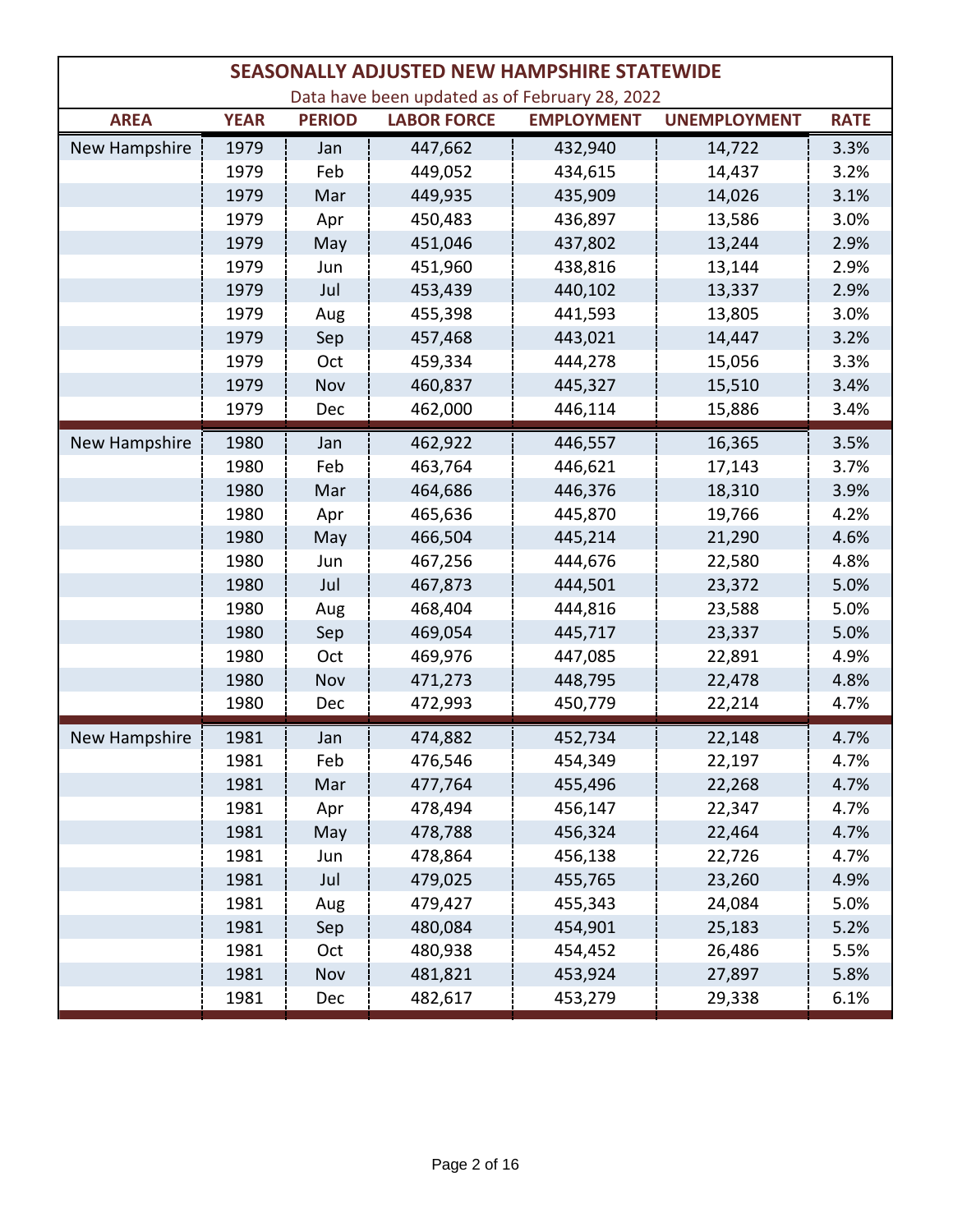|               |             |               |                    | <b>SEASONALLY ADJUSTED NEW HAMPSHIRE STATEWIDE</b> |                     |             |
|---------------|-------------|---------------|--------------------|----------------------------------------------------|---------------------|-------------|
|               |             |               |                    | Data have been updated as of February 28, 2022     |                     |             |
| <b>AREA</b>   | <b>YEAR</b> | <b>PERIOD</b> | <b>LABOR FORCE</b> | <b>EMPLOYMENT</b>                                  | <b>UNEMPLOYMENT</b> | <b>RATE</b> |
| New Hampshire | 1979        | Jan           | 447,662            | 432,940                                            | 14,722              | 3.3%        |
|               | 1979        | Feb           | 449,052            | 434,615                                            | 14,437              | 3.2%        |
|               | 1979        | Mar           | 449,935            | 435,909                                            | 14,026              | 3.1%        |
|               | 1979        | Apr           | 450,483            | 436,897                                            | 13,586              | 3.0%        |
|               | 1979        | May           | 451,046            | 437,802                                            | 13,244              | 2.9%        |
|               | 1979        | Jun           | 451,960            | 438,816                                            | 13,144              | 2.9%        |
|               | 1979        | Jul           | 453,439            | 440,102                                            | 13,337              | 2.9%        |
|               | 1979        | Aug           | 455,398            | 441,593                                            | 13,805              | 3.0%        |
|               | 1979        | Sep           | 457,468            | 443,021                                            | 14,447              | 3.2%        |
|               | 1979        | Oct           | 459,334            | 444,278                                            | 15,056              | 3.3%        |
|               | 1979        | Nov           | 460,837            | 445,327                                            | 15,510              | 3.4%        |
|               | 1979        | Dec           | 462,000            | 446,114                                            | 15,886              | 3.4%        |
| New Hampshire | 1980        | Jan           | 462,922            | 446,557                                            | 16,365              | 3.5%        |
|               | 1980        | Feb           | 463,764            | 446,621                                            | 17,143              | 3.7%        |
|               | 1980        | Mar           | 464,686            | 446,376                                            | 18,310              | 3.9%        |
|               | 1980        | Apr           | 465,636            | 445,870                                            | 19,766              | 4.2%        |
|               | 1980        | May           | 466,504            | 445,214                                            | 21,290              | 4.6%        |
|               | 1980        | Jun           | 467,256            | 444,676                                            | 22,580              | 4.8%        |
|               | 1980        | Jul           | 467,873            | 444,501                                            | 23,372              | 5.0%        |
|               | 1980        | Aug           | 468,404            | 444,816                                            | 23,588              | 5.0%        |
|               | 1980        | Sep           | 469,054            | 445,717                                            | 23,337              | 5.0%        |
|               | 1980        | Oct           | 469,976            | 447,085                                            | 22,891              | 4.9%        |
|               | 1980        | Nov           | 471,273            | 448,795                                            | 22,478              | 4.8%        |
|               | 1980        | Dec           | 472,993            | 450,779                                            | 22,214              | 4.7%        |
| New Hampshire | 1981        | Jan           | 474,882            | 452,734                                            | 22,148              | 4.7%        |
|               | 1981        | Feb           | 476,546            | 454,349                                            | 22,197              | 4.7%        |
|               | 1981        | Mar           | 477,764            | 455,496                                            | 22,268              | 4.7%        |
|               | 1981        | Apr           | 478,494            | 456,147                                            | 22,347              | 4.7%        |
|               | 1981        | May           | 478,788            | 456,324                                            | 22,464              | 4.7%        |
|               | 1981        | Jun           | 478,864            | 456,138                                            | 22,726              | 4.7%        |
|               | 1981        | Jul           | 479,025            | 455,765                                            | 23,260              | 4.9%        |
|               | 1981        | Aug           | 479,427            | 455,343                                            | 24,084              | 5.0%        |
|               | 1981        | Sep           | 480,084            | 454,901                                            | 25,183              | 5.2%        |
|               | 1981        | Oct           | 480,938            | 454,452                                            | 26,486              | 5.5%        |
|               | 1981        | Nov           | 481,821            | 453,924                                            | 27,897              | 5.8%        |
|               | 1981        | Dec           | 482,617            | 453,279                                            | 29,338              | 6.1%        |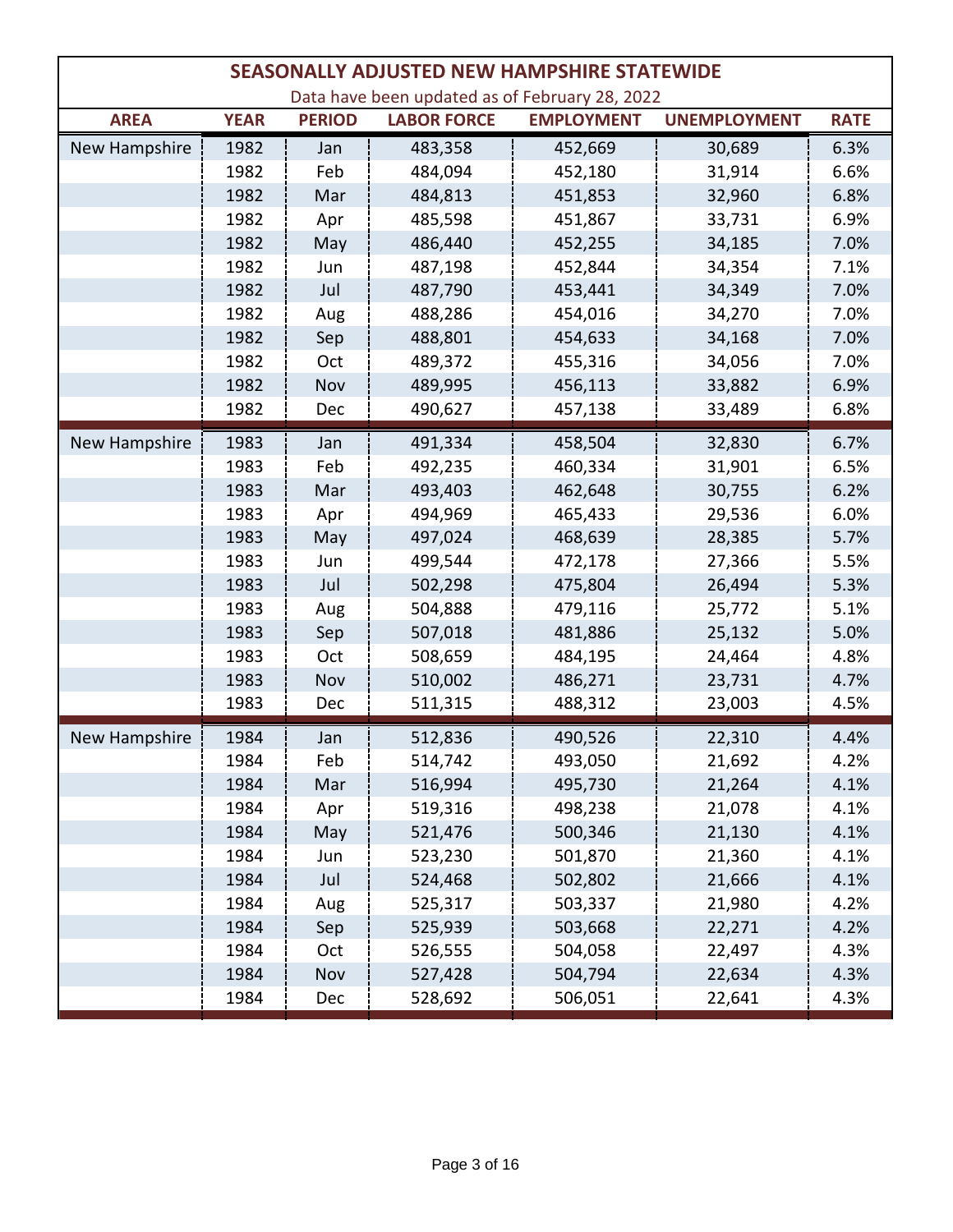|                      |             |               |                    | <b>SEASONALLY ADJUSTED NEW HAMPSHIRE STATEWIDE</b> |                     |             |
|----------------------|-------------|---------------|--------------------|----------------------------------------------------|---------------------|-------------|
|                      |             |               |                    | Data have been updated as of February 28, 2022     |                     |             |
| <b>AREA</b>          | <b>YEAR</b> | <b>PERIOD</b> | <b>LABOR FORCE</b> | <b>EMPLOYMENT</b>                                  | <b>UNEMPLOYMENT</b> | <b>RATE</b> |
| <b>New Hampshire</b> | 1982        | Jan           | 483,358            | 452,669                                            | 30,689              | 6.3%        |
|                      | 1982        | Feb           | 484,094            | 452,180                                            | 31,914              | 6.6%        |
|                      | 1982        | Mar           | 484,813            | 451,853                                            | 32,960              | 6.8%        |
|                      | 1982        | Apr           | 485,598            | 451,867                                            | 33,731              | 6.9%        |
|                      | 1982        | May           | 486,440            | 452,255                                            | 34,185              | 7.0%        |
|                      | 1982        | Jun           | 487,198            | 452,844                                            | 34,354              | 7.1%        |
|                      | 1982        | Jul           | 487,790            | 453,441                                            | 34,349              | 7.0%        |
|                      | 1982        | Aug           | 488,286            | 454,016                                            | 34,270              | 7.0%        |
|                      | 1982        | Sep           | 488,801            | 454,633                                            | 34,168              | 7.0%        |
|                      | 1982        | Oct           | 489,372            | 455,316                                            | 34,056              | 7.0%        |
|                      | 1982        | Nov           | 489,995            | 456,113                                            | 33,882              | 6.9%        |
|                      | 1982        | Dec           | 490,627            | 457,138                                            | 33,489              | 6.8%        |
| New Hampshire        | 1983        | Jan           | 491,334            | 458,504                                            | 32,830              | 6.7%        |
|                      | 1983        | Feb           | 492,235            | 460,334                                            | 31,901              | 6.5%        |
|                      | 1983        | Mar           | 493,403            | 462,648                                            | 30,755              | 6.2%        |
|                      | 1983        | Apr           | 494,969            | 465,433                                            | 29,536              | 6.0%        |
|                      | 1983        | May           | 497,024            | 468,639                                            | 28,385              | 5.7%        |
|                      | 1983        | Jun           | 499,544            | 472,178                                            | 27,366              | 5.5%        |
|                      | 1983        | Jul           | 502,298            | 475,804                                            | 26,494              | 5.3%        |
|                      | 1983        | Aug           | 504,888            | 479,116                                            | 25,772              | 5.1%        |
|                      | 1983        | Sep           | 507,018            | 481,886                                            | 25,132              | 5.0%        |
|                      | 1983        | Oct           | 508,659            | 484,195                                            | 24,464              | 4.8%        |
|                      | 1983        | Nov           | 510,002            | 486,271                                            | 23,731              | 4.7%        |
|                      | 1983        | Dec           | 511,315            | 488,312                                            | 23,003              | 4.5%        |
| New Hampshire        | 1984        | Jan           | 512,836            | 490,526                                            | 22,310              | 4.4%        |
|                      | 1984        | Feb           | 514,742            | 493,050                                            | 21,692              | 4.2%        |
|                      | 1984        | Mar           | 516,994            | 495,730                                            | 21,264              | 4.1%        |
|                      | 1984        | Apr           | 519,316            | 498,238                                            | 21,078              | 4.1%        |
|                      | 1984        | May           | 521,476            | 500,346                                            | 21,130              | 4.1%        |
|                      | 1984        | Jun           | 523,230            | 501,870                                            | 21,360              | 4.1%        |
|                      | 1984        | Jul           | 524,468            | 502,802                                            | 21,666              | 4.1%        |
|                      | 1984        | Aug           | 525,317            | 503,337                                            | 21,980              | 4.2%        |
|                      | 1984        | Sep           | 525,939            | 503,668                                            | 22,271              | 4.2%        |
|                      | 1984        | Oct           | 526,555            | 504,058                                            | 22,497              | 4.3%        |
|                      | 1984        | Nov           | 527,428            | 504,794                                            | 22,634              | 4.3%        |
|                      | 1984        | Dec           | 528,692            | 506,051                                            | 22,641              | 4.3%        |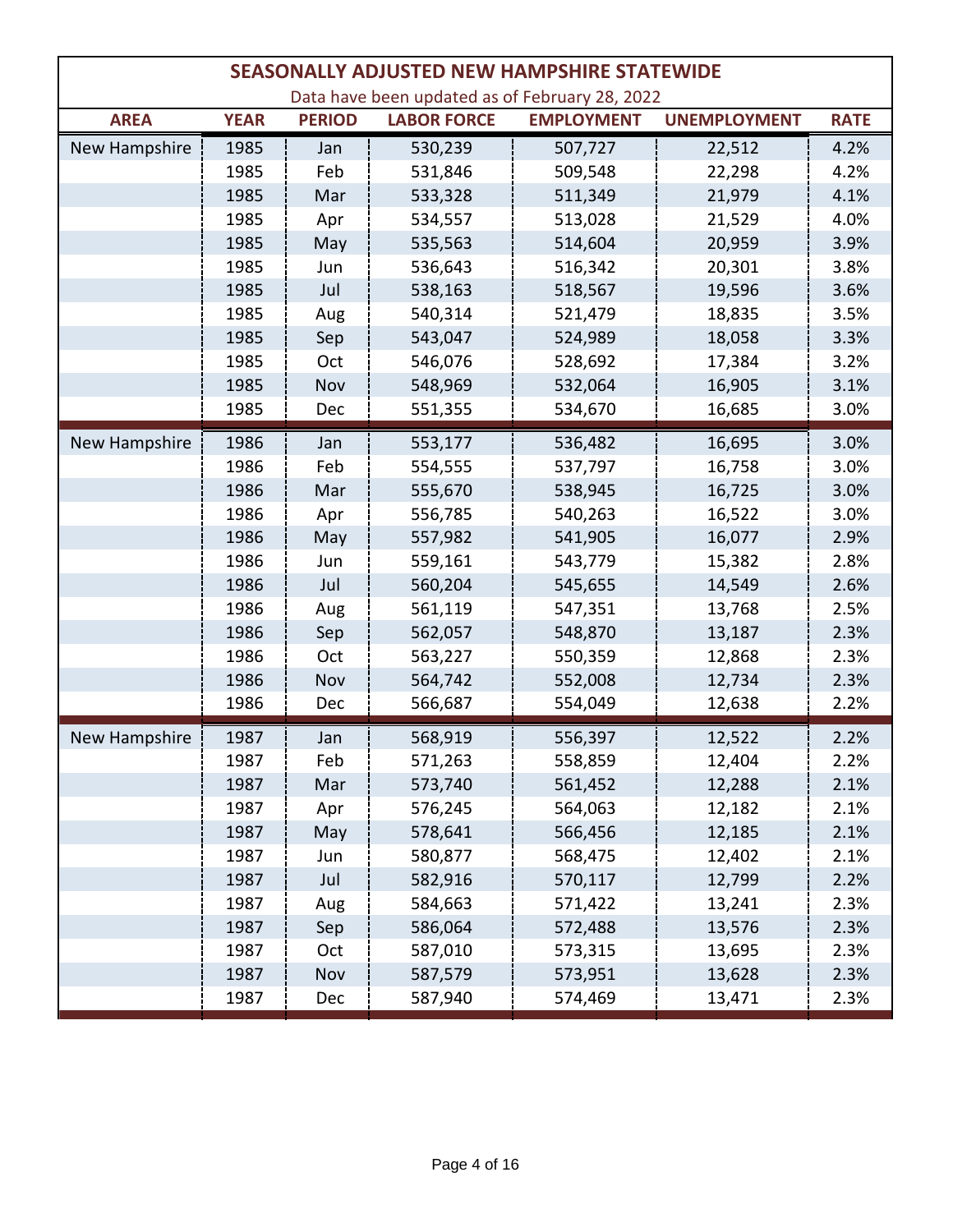|               |             |               |                    | <b>SEASONALLY ADJUSTED NEW HAMPSHIRE STATEWIDE</b> |                     |             |
|---------------|-------------|---------------|--------------------|----------------------------------------------------|---------------------|-------------|
|               |             |               |                    | Data have been updated as of February 28, 2022     |                     |             |
| <b>AREA</b>   | <b>YEAR</b> | <b>PERIOD</b> | <b>LABOR FORCE</b> | <b>EMPLOYMENT</b>                                  | <b>UNEMPLOYMENT</b> | <b>RATE</b> |
| New Hampshire | 1985        | Jan           | 530,239            | 507,727                                            | 22,512              | 4.2%        |
|               | 1985        | Feb           | 531,846            | 509,548                                            | 22,298              | 4.2%        |
|               | 1985        | Mar           | 533,328            | 511,349                                            | 21,979              | 4.1%        |
|               | 1985        | Apr           | 534,557            | 513,028                                            | 21,529              | 4.0%        |
|               | 1985        | May           | 535,563            | 514,604                                            | 20,959              | 3.9%        |
|               | 1985        | Jun           | 536,643            | 516,342                                            | 20,301              | 3.8%        |
|               | 1985        | Jul           | 538,163            | 518,567                                            | 19,596              | 3.6%        |
|               | 1985        | Aug           | 540,314            | 521,479                                            | 18,835              | 3.5%        |
|               | 1985        | Sep           | 543,047            | 524,989                                            | 18,058              | 3.3%        |
|               | 1985        | Oct           | 546,076            | 528,692                                            | 17,384              | 3.2%        |
|               | 1985        | Nov           | 548,969            | 532,064                                            | 16,905              | 3.1%        |
|               | 1985        | Dec           | 551,355            | 534,670                                            | 16,685              | 3.0%        |
| New Hampshire | 1986        | Jan           | 553,177            | 536,482                                            | 16,695              | 3.0%        |
|               | 1986        | Feb           | 554,555            | 537,797                                            | 16,758              | 3.0%        |
|               | 1986        | Mar           | 555,670            | 538,945                                            | 16,725              | 3.0%        |
|               | 1986        | Apr           | 556,785            | 540,263                                            | 16,522              | 3.0%        |
|               | 1986        | May           | 557,982            | 541,905                                            | 16,077              | 2.9%        |
|               | 1986        | Jun           | 559,161            | 543,779                                            | 15,382              | 2.8%        |
|               | 1986        | Jul           | 560,204            | 545,655                                            | 14,549              | 2.6%        |
|               | 1986        | Aug           | 561,119            | 547,351                                            | 13,768              | 2.5%        |
|               | 1986        | Sep           | 562,057            | 548,870                                            | 13,187              | 2.3%        |
|               | 1986        | Oct           | 563,227            | 550,359                                            | 12,868              | 2.3%        |
|               | 1986        | Nov           | 564,742            | 552,008                                            | 12,734              | 2.3%        |
|               | 1986        | Dec           | 566,687            | 554,049                                            | 12,638              | 2.2%        |
| New Hampshire | 1987        | Jan           | 568,919            | 556,397                                            | 12,522              | 2.2%        |
|               | 1987        | Feb           | 571,263            | 558,859                                            | 12,404              | 2.2%        |
|               | 1987        | Mar           | 573,740            | 561,452                                            | 12,288              | 2.1%        |
|               | 1987        | Apr           | 576,245            | 564,063                                            | 12,182              | 2.1%        |
|               | 1987        | May           | 578,641            | 566,456                                            | 12,185              | 2.1%        |
|               | 1987        | Jun           | 580,877            | 568,475                                            | 12,402              | 2.1%        |
|               | 1987        | Jul           | 582,916            | 570,117                                            | 12,799              | 2.2%        |
|               | 1987        | Aug           | 584,663            | 571,422                                            | 13,241              | 2.3%        |
|               | 1987        | Sep           | 586,064            | 572,488                                            | 13,576              | 2.3%        |
|               | 1987        | Oct           | 587,010            | 573,315                                            | 13,695              | 2.3%        |
|               | 1987        | Nov           | 587,579            | 573,951                                            | 13,628              | 2.3%        |
|               | 1987        | Dec           | 587,940            | 574,469                                            | 13,471              | 2.3%        |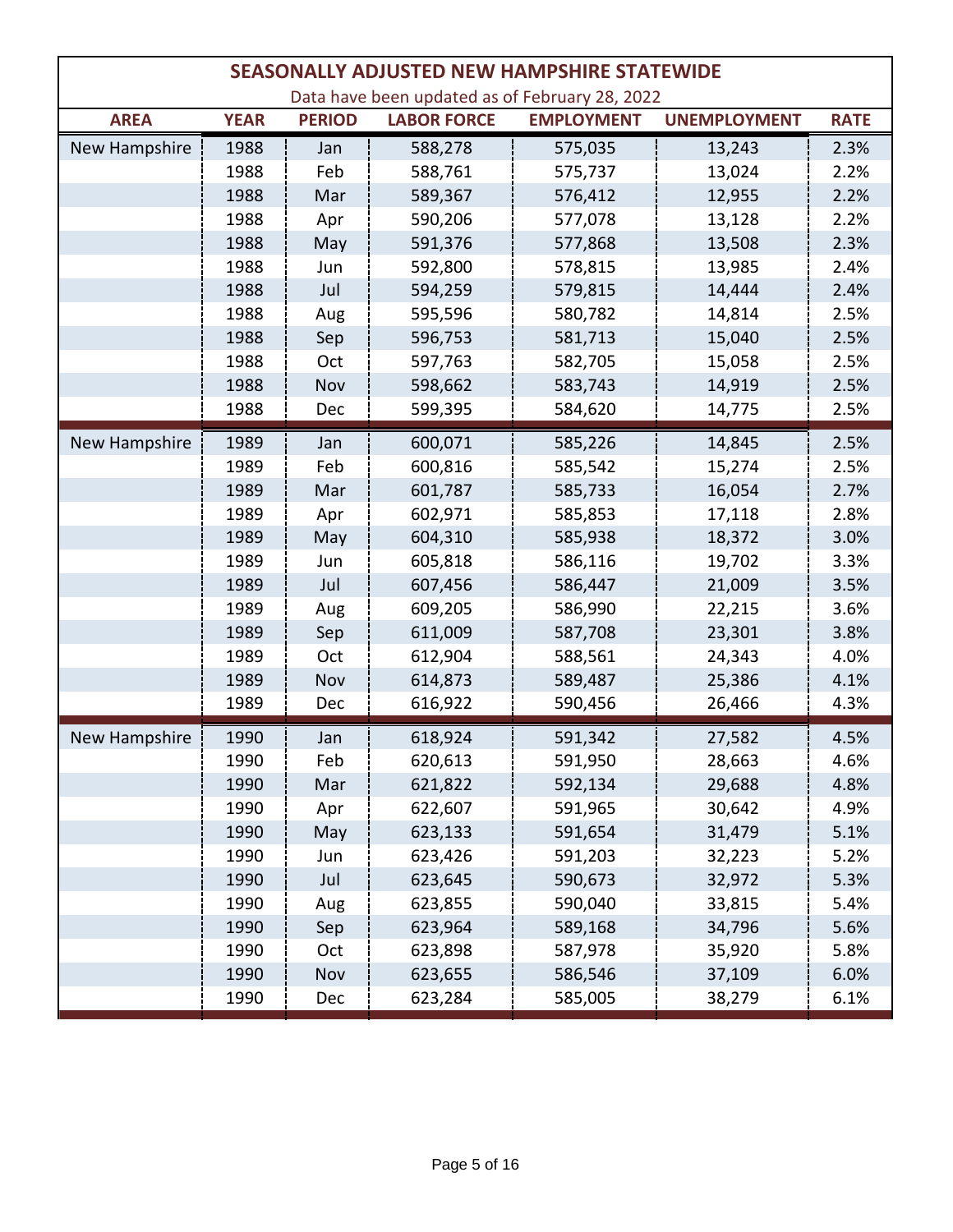|                      |             |               |                    | SEASONALLY ADJUSTED NEW HAMPSHIRE STATEWIDE    |                     |             |
|----------------------|-------------|---------------|--------------------|------------------------------------------------|---------------------|-------------|
|                      |             |               |                    | Data have been updated as of February 28, 2022 |                     |             |
| <b>AREA</b>          | <b>YEAR</b> | <b>PERIOD</b> | <b>LABOR FORCE</b> | <b>EMPLOYMENT</b>                              | <b>UNEMPLOYMENT</b> | <b>RATE</b> |
| New Hampshire        | 1988        | Jan           | 588,278            | 575,035                                        | 13,243              | 2.3%        |
|                      | 1988        | Feb           | 588,761            | 575,737                                        | 13,024              | 2.2%        |
|                      | 1988        | Mar           | 589,367            | 576,412                                        | 12,955              | 2.2%        |
|                      | 1988        | Apr           | 590,206            | 577,078                                        | 13,128              | 2.2%        |
|                      | 1988        | May           | 591,376            | 577,868                                        | 13,508              | 2.3%        |
|                      | 1988        | Jun           | 592,800            | 578,815                                        | 13,985              | 2.4%        |
|                      | 1988        | Jul           | 594,259            | 579,815                                        | 14,444              | 2.4%        |
|                      | 1988        | Aug           | 595,596            | 580,782                                        | 14,814              | 2.5%        |
|                      | 1988        | Sep           | 596,753            | 581,713                                        | 15,040              | 2.5%        |
|                      | 1988        | Oct           | 597,763            | 582,705                                        | 15,058              | 2.5%        |
|                      | 1988        | Nov           | 598,662            | 583,743                                        | 14,919              | 2.5%        |
|                      | 1988        | Dec           | 599,395            | 584,620                                        | 14,775              | 2.5%        |
| <b>New Hampshire</b> | 1989        | Jan           | 600,071            | 585,226                                        | 14,845              | 2.5%        |
|                      | 1989        | Feb           | 600,816            | 585,542                                        | 15,274              | 2.5%        |
|                      | 1989        | Mar           | 601,787            | 585,733                                        | 16,054              | 2.7%        |
|                      | 1989        | Apr           | 602,971            | 585,853                                        | 17,118              | 2.8%        |
|                      | 1989        | May           | 604,310            | 585,938                                        | 18,372              | 3.0%        |
|                      | 1989        | Jun           | 605,818            | 586,116                                        | 19,702              | 3.3%        |
|                      | 1989        | Jul           | 607,456            | 586,447                                        | 21,009              | 3.5%        |
|                      | 1989        | Aug           | 609,205            | 586,990                                        | 22,215              | 3.6%        |
|                      | 1989        | Sep           | 611,009            | 587,708                                        | 23,301              | 3.8%        |
|                      | 1989        | Oct           | 612,904            | 588,561                                        | 24,343              | 4.0%        |
|                      | 1989        | Nov           | 614,873            | 589,487                                        | 25,386              | 4.1%        |
|                      | 1989        | Dec           | 616,922            | 590,456                                        | 26,466              | 4.3%        |
| New Hampshire        | 1990        | Jan           | 618,924            | 591,342                                        | 27,582              | 4.5%        |
|                      | 1990        | Feb           | 620,613            | 591,950                                        | 28,663              | 4.6%        |
|                      | 1990        | Mar           | 621,822            | 592,134                                        | 29,688              | 4.8%        |
|                      | 1990        | Apr           | 622,607            | 591,965                                        | 30,642              | 4.9%        |
|                      | 1990        | May           | 623,133            | 591,654                                        | 31,479              | 5.1%        |
|                      | 1990        | Jun           | 623,426            | 591,203                                        | 32,223              | 5.2%        |
|                      | 1990        | Jul           | 623,645            | 590,673                                        | 32,972              | 5.3%        |
|                      | 1990        | Aug           | 623,855            | 590,040                                        | 33,815              | 5.4%        |
|                      | 1990        | Sep           | 623,964            | 589,168                                        | 34,796              | 5.6%        |
|                      | 1990        | Oct           | 623,898            | 587,978                                        | 35,920              | 5.8%        |
|                      | 1990        | Nov           | 623,655            | 586,546                                        | 37,109              | 6.0%        |
|                      | 1990        | Dec           | 623,284            | 585,005                                        | 38,279              | 6.1%        |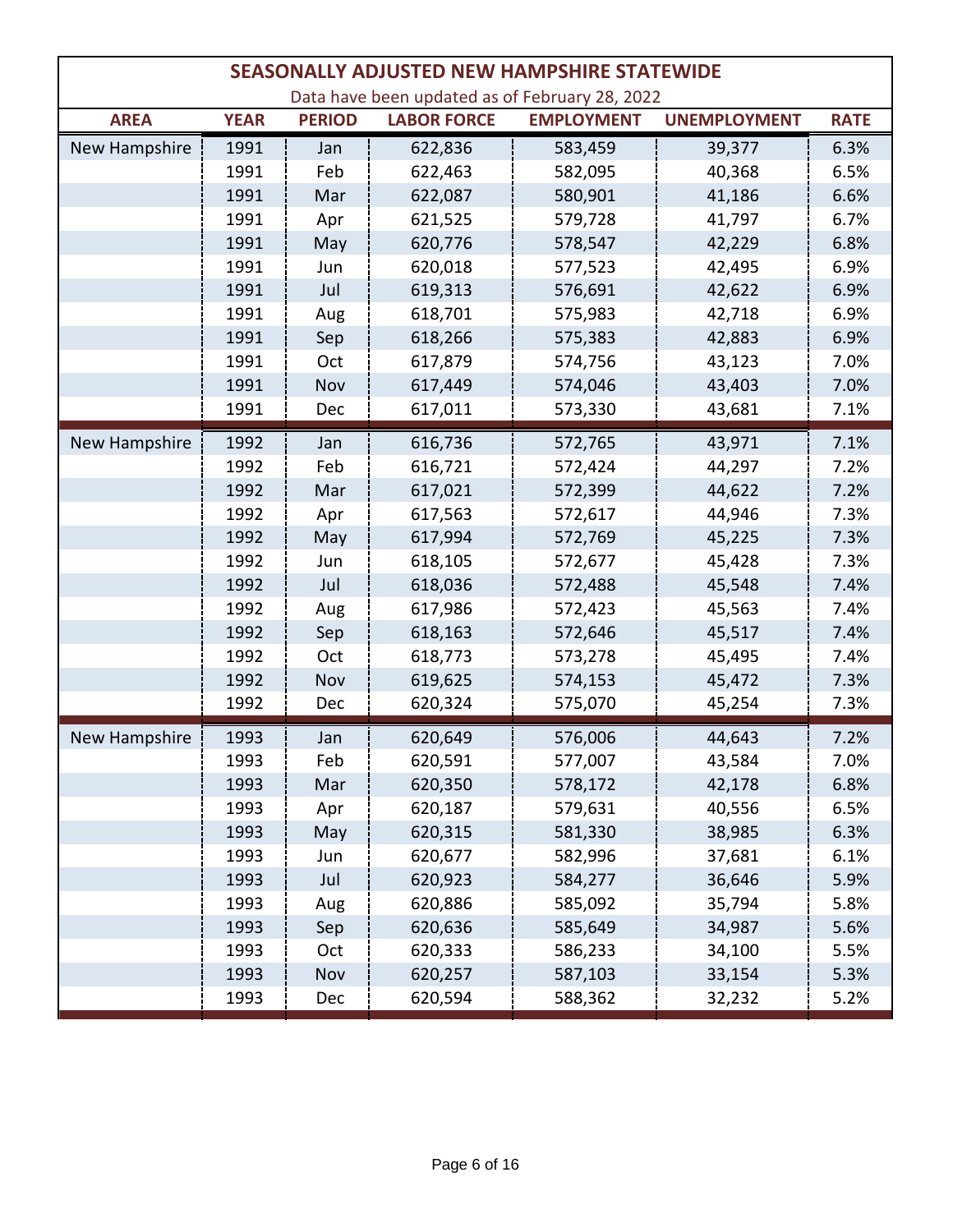|                      |             |               | SEASONALLY ADJUSTED NEW HAMPSHIRE STATEWIDE    |                   |                     |             |
|----------------------|-------------|---------------|------------------------------------------------|-------------------|---------------------|-------------|
|                      |             |               | Data have been updated as of February 28, 2022 |                   |                     |             |
| <b>AREA</b>          | <b>YEAR</b> | <b>PERIOD</b> | <b>LABOR FORCE</b>                             | <b>EMPLOYMENT</b> | <b>UNEMPLOYMENT</b> | <b>RATE</b> |
| New Hampshire        | 1991        | Jan           | 622,836                                        | 583,459           | 39,377              | 6.3%        |
|                      | 1991        | Feb           | 622,463                                        | 582,095           | 40,368              | 6.5%        |
|                      | 1991        | Mar           | 622,087                                        | 580,901           | 41,186              | 6.6%        |
|                      | 1991        | Apr           | 621,525                                        | 579,728           | 41,797              | 6.7%        |
|                      | 1991        | May           | 620,776                                        | 578,547           | 42,229              | 6.8%        |
|                      | 1991        | Jun           | 620,018                                        | 577,523           | 42,495              | 6.9%        |
|                      | 1991        | Jul           | 619,313                                        | 576,691           | 42,622              | 6.9%        |
|                      | 1991        | Aug           | 618,701                                        | 575,983           | 42,718              | 6.9%        |
|                      | 1991        | Sep           | 618,266                                        | 575,383           | 42,883              | 6.9%        |
|                      | 1991        | Oct           | 617,879                                        | 574,756           | 43,123              | 7.0%        |
|                      | 1991        | Nov           | 617,449                                        | 574,046           | 43,403              | 7.0%        |
|                      | 1991        | Dec           | 617,011                                        | 573,330           | 43,681              | 7.1%        |
| <b>New Hampshire</b> | 1992        | Jan           | 616,736                                        | 572,765           | 43,971              | 7.1%        |
|                      | 1992        | Feb           | 616,721                                        | 572,424           | 44,297              | 7.2%        |
|                      | 1992        | Mar           | 617,021                                        | 572,399           | 44,622              | 7.2%        |
|                      | 1992        | Apr           | 617,563                                        | 572,617           | 44,946              | 7.3%        |
|                      | 1992        | May           | 617,994                                        | 572,769           | 45,225              | 7.3%        |
|                      | 1992        | Jun           | 618,105                                        | 572,677           | 45,428              | 7.3%        |
|                      | 1992        | Jul           | 618,036                                        | 572,488           | 45,548              | 7.4%        |
|                      | 1992        | Aug           | 617,986                                        | 572,423           | 45,563              | 7.4%        |
|                      | 1992        | Sep           | 618,163                                        | 572,646           | 45,517              | 7.4%        |
|                      | 1992        | Oct           | 618,773                                        | 573,278           | 45,495              | 7.4%        |
|                      | 1992        | Nov           | 619,625                                        | 574,153           | 45,472              | 7.3%        |
|                      | 1992        | Dec           | 620,324                                        | 575,070           | 45,254              | 7.3%        |
| New Hampshire        | 1993        | Jan           | 620,649                                        | 576,006           | 44,643              | 7.2%        |
|                      | 1993        | Feb           | 620,591                                        | 577,007           | 43,584              | 7.0%        |
|                      | 1993        | Mar           | 620,350                                        | 578,172           | 42,178              | 6.8%        |
|                      | 1993        | Apr           | 620,187                                        | 579,631           | 40,556              | 6.5%        |
|                      | 1993        | May           | 620,315                                        | 581,330           | 38,985              | 6.3%        |
|                      | 1993        | Jun           | 620,677                                        | 582,996           | 37,681              | 6.1%        |
|                      | 1993        | Jul           | 620,923                                        | 584,277           | 36,646              | 5.9%        |
|                      | 1993        | Aug           | 620,886                                        | 585,092           | 35,794              | 5.8%        |
|                      | 1993        | Sep           | 620,636                                        | 585,649           | 34,987              | 5.6%        |
|                      | 1993        | Oct           | 620,333                                        | 586,233           | 34,100              | 5.5%        |
|                      | 1993        | Nov           | 620,257                                        | 587,103           | 33,154              | 5.3%        |
|                      | 1993        | Dec           | 620,594                                        | 588,362           | 32,232              | 5.2%        |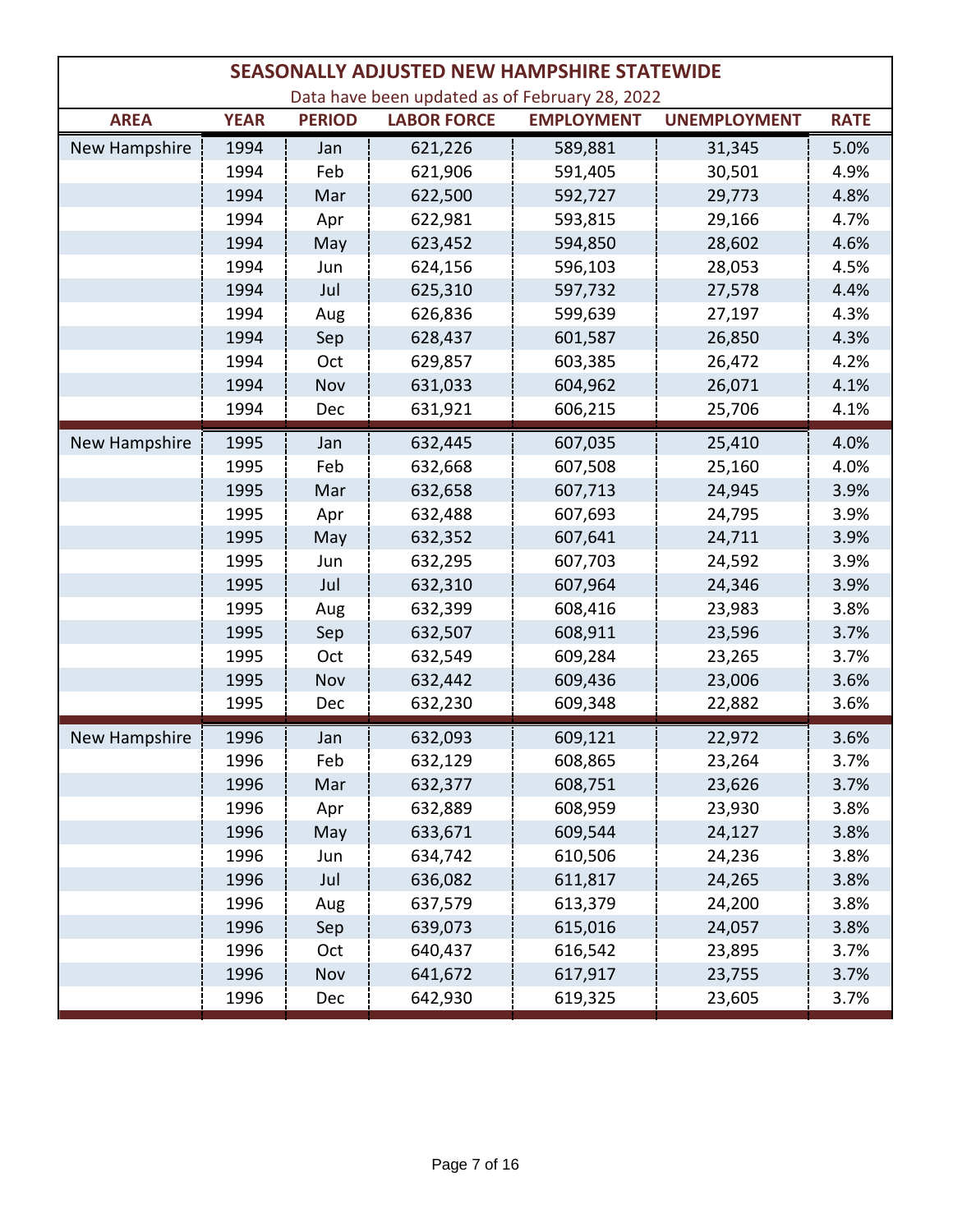|                      | SEASONALLY ADJUSTED NEW HAMPSHIRE STATEWIDE |               |                                                |                   |                     |             |  |  |  |  |
|----------------------|---------------------------------------------|---------------|------------------------------------------------|-------------------|---------------------|-------------|--|--|--|--|
|                      |                                             |               | Data have been updated as of February 28, 2022 |                   |                     |             |  |  |  |  |
| <b>AREA</b>          | <b>YEAR</b>                                 | <b>PERIOD</b> | <b>LABOR FORCE</b>                             | <b>EMPLOYMENT</b> | <b>UNEMPLOYMENT</b> | <b>RATE</b> |  |  |  |  |
| New Hampshire        | 1994                                        | Jan           | 621,226                                        | 589,881           | 31,345              | 5.0%        |  |  |  |  |
|                      | 1994                                        | Feb           | 621,906                                        | 591,405           | 30,501              | 4.9%        |  |  |  |  |
|                      | 1994                                        | Mar           | 622,500                                        | 592,727           | 29,773              | 4.8%        |  |  |  |  |
|                      | 1994                                        | Apr           | 622,981                                        | 593,815           | 29,166              | 4.7%        |  |  |  |  |
|                      | 1994                                        | May           | 623,452                                        | 594,850           | 28,602              | 4.6%        |  |  |  |  |
|                      | 1994                                        | Jun           | 624,156                                        | 596,103           | 28,053              | 4.5%        |  |  |  |  |
|                      | 1994                                        | Jul           | 625,310                                        | 597,732           | 27,578              | 4.4%        |  |  |  |  |
|                      | 1994                                        | Aug           | 626,836                                        | 599,639           | 27,197              | 4.3%        |  |  |  |  |
|                      | 1994                                        | Sep           | 628,437                                        | 601,587           | 26,850              | 4.3%        |  |  |  |  |
|                      | 1994                                        | Oct           | 629,857                                        | 603,385           | 26,472              | 4.2%        |  |  |  |  |
|                      | 1994                                        | Nov           | 631,033                                        | 604,962           | 26,071              | 4.1%        |  |  |  |  |
|                      | 1994                                        | Dec           | 631,921                                        | 606,215           | 25,706              | 4.1%        |  |  |  |  |
| <b>New Hampshire</b> | 1995                                        | Jan           | 632,445                                        | 607,035           | 25,410              | 4.0%        |  |  |  |  |
|                      | 1995                                        | Feb           | 632,668                                        | 607,508           | 25,160              | 4.0%        |  |  |  |  |
|                      | 1995                                        | Mar           | 632,658                                        | 607,713           | 24,945              | 3.9%        |  |  |  |  |
|                      | 1995                                        | Apr           | 632,488                                        | 607,693           | 24,795              | 3.9%        |  |  |  |  |
|                      | 1995                                        | May           | 632,352                                        | 607,641           | 24,711              | 3.9%        |  |  |  |  |
|                      | 1995                                        | Jun           | 632,295                                        | 607,703           | 24,592              | 3.9%        |  |  |  |  |
|                      | 1995                                        | Jul           | 632,310                                        | 607,964           | 24,346              | 3.9%        |  |  |  |  |
|                      | 1995                                        | Aug           | 632,399                                        | 608,416           | 23,983              | 3.8%        |  |  |  |  |
|                      | 1995                                        | Sep           | 632,507                                        | 608,911           | 23,596              | 3.7%        |  |  |  |  |
|                      | 1995                                        | Oct           | 632,549                                        | 609,284           | 23,265              | 3.7%        |  |  |  |  |
|                      | 1995                                        | Nov           | 632,442                                        | 609,436           | 23,006              | 3.6%        |  |  |  |  |
|                      | 1995                                        | Dec           | 632,230                                        | 609,348           | 22,882              | 3.6%        |  |  |  |  |
| New Hampshire        | 1996                                        | Jan           | 632,093                                        | 609,121           | 22,972              | 3.6%        |  |  |  |  |
|                      | 1996                                        | Feb           | 632,129                                        | 608,865           | 23,264              | 3.7%        |  |  |  |  |
|                      | 1996                                        | Mar           | 632,377                                        | 608,751           | 23,626              | 3.7%        |  |  |  |  |
|                      | 1996                                        | Apr           | 632,889                                        | 608,959           | 23,930              | 3.8%        |  |  |  |  |
|                      | 1996                                        | May           | 633,671                                        | 609,544           | 24,127              | 3.8%        |  |  |  |  |
|                      | 1996                                        | Jun           | 634,742                                        | 610,506           | 24,236              | 3.8%        |  |  |  |  |
|                      | 1996                                        | Jul           | 636,082                                        | 611,817           | 24,265              | 3.8%        |  |  |  |  |
|                      | 1996                                        | Aug           | 637,579                                        | 613,379           | 24,200              | 3.8%        |  |  |  |  |
|                      | 1996                                        | Sep           | 639,073                                        | 615,016           | 24,057              | 3.8%        |  |  |  |  |
|                      | 1996                                        | Oct           | 640,437                                        | 616,542           | 23,895              | 3.7%        |  |  |  |  |
|                      | 1996                                        | Nov           | 641,672                                        | 617,917           | 23,755              | 3.7%        |  |  |  |  |
|                      | 1996                                        | Dec           | 642,930                                        | 619,325           | 23,605              | 3.7%        |  |  |  |  |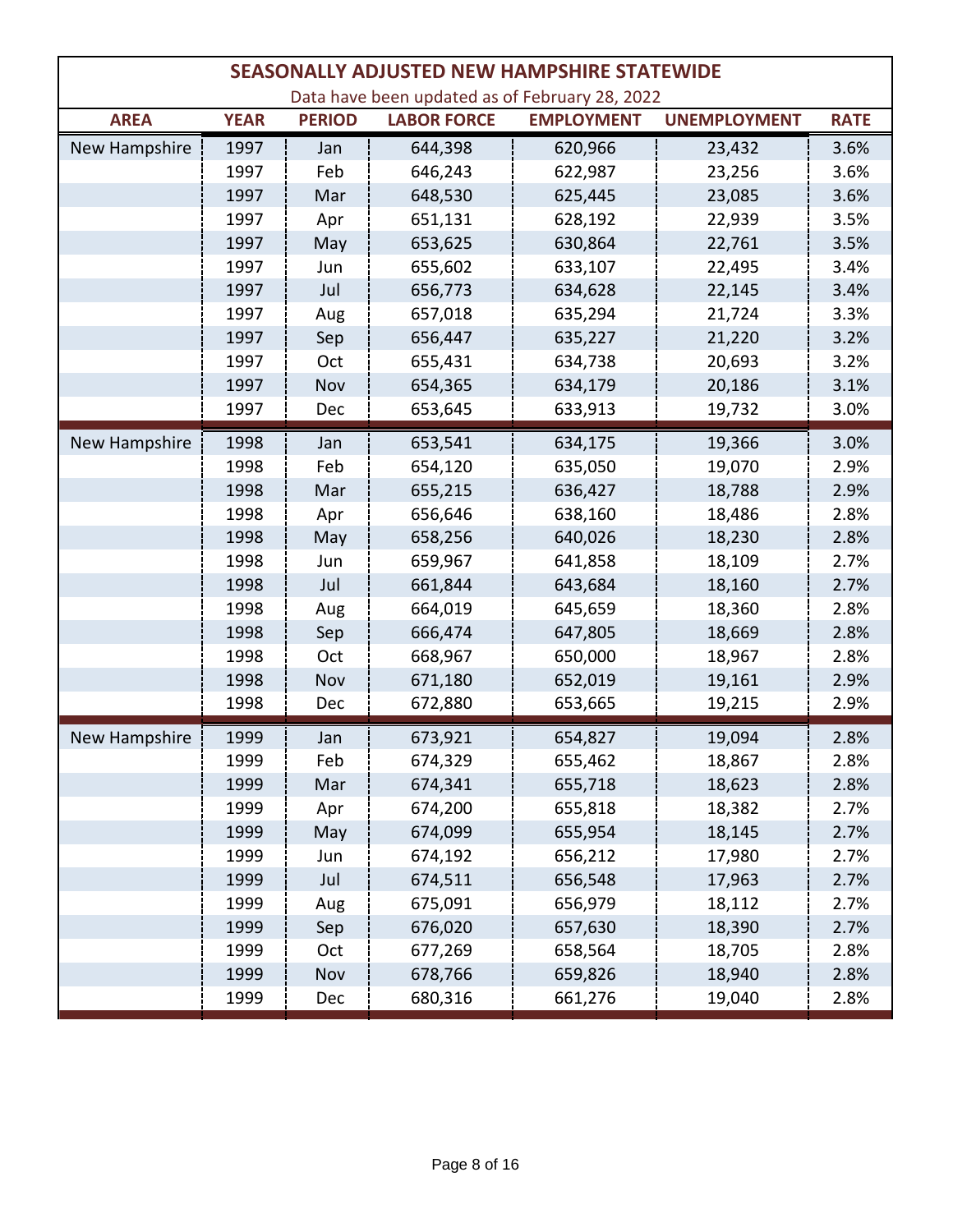|                      |             |               |                    | <b>SEASONALLY ADJUSTED NEW HAMPSHIRE STATEWIDE</b> |                     |             |
|----------------------|-------------|---------------|--------------------|----------------------------------------------------|---------------------|-------------|
|                      |             |               |                    | Data have been updated as of February 28, 2022     |                     |             |
| <b>AREA</b>          | <b>YEAR</b> | <b>PERIOD</b> | <b>LABOR FORCE</b> | <b>EMPLOYMENT</b>                                  | <b>UNEMPLOYMENT</b> | <b>RATE</b> |
| <b>New Hampshire</b> | 1997        | Jan           | 644,398            | 620,966                                            | 23,432              | 3.6%        |
|                      | 1997        | Feb           | 646,243            | 622,987                                            | 23,256              | 3.6%        |
|                      | 1997        | Mar           | 648,530            | 625,445                                            | 23,085              | 3.6%        |
|                      | 1997        | Apr           | 651,131            | 628,192                                            | 22,939              | 3.5%        |
|                      | 1997        | May           | 653,625            | 630,864                                            | 22,761              | 3.5%        |
|                      | 1997        | Jun           | 655,602            | 633,107                                            | 22,495              | 3.4%        |
|                      | 1997        | Jul           | 656,773            | 634,628                                            | 22,145              | 3.4%        |
|                      | 1997        | Aug           | 657,018            | 635,294                                            | 21,724              | 3.3%        |
|                      | 1997        | Sep           | 656,447            | 635,227                                            | 21,220              | 3.2%        |
|                      | 1997        | Oct           | 655,431            | 634,738                                            | 20,693              | 3.2%        |
|                      | 1997        | Nov           | 654,365            | 634,179                                            | 20,186              | 3.1%        |
|                      | 1997        | Dec           | 653,645            | 633,913                                            | 19,732              | 3.0%        |
| New Hampshire        | 1998        | Jan           | 653,541            | 634,175                                            | 19,366              | 3.0%        |
|                      | 1998        | Feb           | 654,120            | 635,050                                            | 19,070              | 2.9%        |
|                      | 1998        | Mar           | 655,215            | 636,427                                            | 18,788              | 2.9%        |
|                      | 1998        | Apr           | 656,646            | 638,160                                            | 18,486              | 2.8%        |
|                      | 1998        | May           | 658,256            | 640,026                                            | 18,230              | 2.8%        |
|                      | 1998        | Jun           | 659,967            | 641,858                                            | 18,109              | 2.7%        |
|                      | 1998        | Jul           | 661,844            | 643,684                                            | 18,160              | 2.7%        |
|                      | 1998        | Aug           | 664,019            | 645,659                                            | 18,360              | 2.8%        |
|                      | 1998        | Sep           | 666,474            | 647,805                                            | 18,669              | 2.8%        |
|                      | 1998        | Oct           | 668,967            | 650,000                                            | 18,967              | 2.8%        |
|                      | 1998        | Nov           | 671,180            | 652,019                                            | 19,161              | 2.9%        |
|                      | 1998        | Dec           | 672,880            | 653,665                                            | 19,215              | 2.9%        |
| New Hampshire        | 1999        | Jan           | 673,921            | 654,827                                            | 19,094              | 2.8%        |
|                      | 1999        | Feb           | 674,329            | 655,462                                            | 18,867              | 2.8%        |
|                      | 1999        | Mar           | 674,341            | 655,718                                            | 18,623              | 2.8%        |
|                      | 1999        | Apr           | 674,200            | 655,818                                            | 18,382              | 2.7%        |
|                      | 1999        | May           | 674,099            | 655,954                                            | 18,145              | 2.7%        |
|                      | 1999        | Jun           | 674,192            | 656,212                                            | 17,980              | 2.7%        |
|                      | 1999        | Jul           | 674,511            | 656,548                                            | 17,963              | 2.7%        |
|                      | 1999        | Aug           | 675,091            | 656,979                                            | 18,112              | 2.7%        |
|                      | 1999        | Sep           | 676,020            | 657,630                                            | 18,390              | 2.7%        |
|                      | 1999        | Oct           | 677,269            | 658,564                                            | 18,705              | 2.8%        |
|                      | 1999        | Nov           | 678,766            | 659,826                                            | 18,940              | 2.8%        |
|                      | 1999        | Dec           | 680,316            | 661,276                                            | 19,040              | 2.8%        |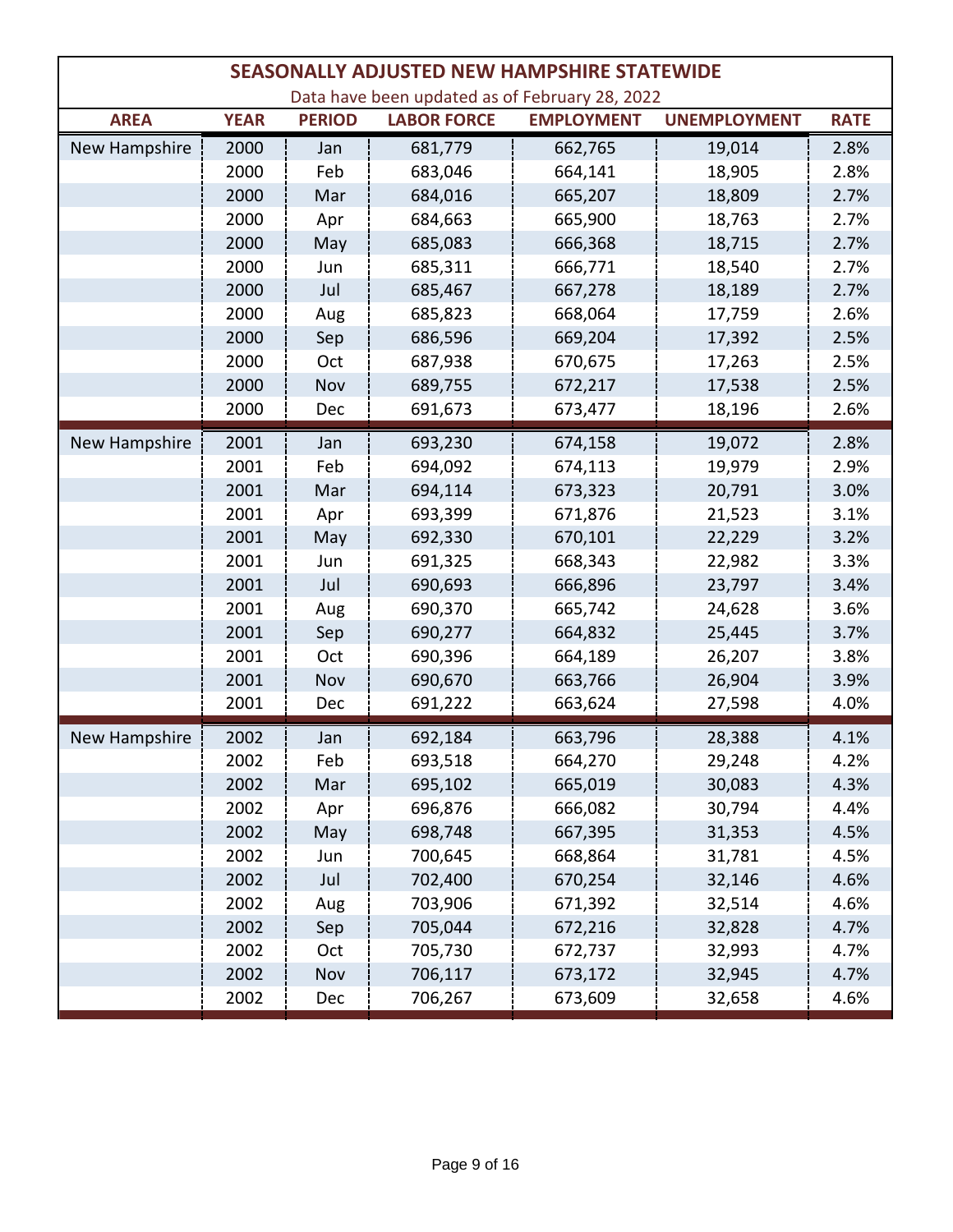|               | <b>SEASONALLY ADJUSTED NEW HAMPSHIRE STATEWIDE</b> |               |                    |                                                |                     |             |  |  |  |
|---------------|----------------------------------------------------|---------------|--------------------|------------------------------------------------|---------------------|-------------|--|--|--|
|               |                                                    |               |                    | Data have been updated as of February 28, 2022 |                     |             |  |  |  |
| <b>AREA</b>   | <b>YEAR</b>                                        | <b>PERIOD</b> | <b>LABOR FORCE</b> | <b>EMPLOYMENT</b>                              | <b>UNEMPLOYMENT</b> | <b>RATE</b> |  |  |  |
| New Hampshire | 2000                                               | Jan           | 681,779            | 662,765                                        | 19,014              | 2.8%        |  |  |  |
|               | 2000                                               | Feb           | 683,046            | 664,141                                        | 18,905              | 2.8%        |  |  |  |
|               | 2000                                               | Mar           | 684,016            | 665,207                                        | 18,809              | 2.7%        |  |  |  |
|               | 2000                                               | Apr           | 684,663            | 665,900                                        | 18,763              | 2.7%        |  |  |  |
|               | 2000                                               | May           | 685,083            | 666,368                                        | 18,715              | 2.7%        |  |  |  |
|               | 2000                                               | Jun           | 685,311            | 666,771                                        | 18,540              | 2.7%        |  |  |  |
|               | 2000                                               | Jul           | 685,467            | 667,278                                        | 18,189              | 2.7%        |  |  |  |
|               | 2000                                               | Aug           | 685,823            | 668,064                                        | 17,759              | 2.6%        |  |  |  |
|               | 2000                                               | Sep           | 686,596            | 669,204                                        | 17,392              | 2.5%        |  |  |  |
|               | 2000                                               | Oct           | 687,938            | 670,675                                        | 17,263              | 2.5%        |  |  |  |
|               | 2000                                               | Nov           | 689,755            | 672,217                                        | 17,538              | 2.5%        |  |  |  |
|               | 2000                                               | Dec           | 691,673            | 673,477                                        | 18,196              | 2.6%        |  |  |  |
| New Hampshire | 2001                                               | Jan           | 693,230            | 674,158                                        | 19,072              | 2.8%        |  |  |  |
|               | 2001                                               | Feb           | 694,092            | 674,113                                        | 19,979              | 2.9%        |  |  |  |
|               | 2001                                               | Mar           | 694,114            | 673,323                                        | 20,791              | 3.0%        |  |  |  |
|               | 2001                                               | Apr           | 693,399            | 671,876                                        | 21,523              | 3.1%        |  |  |  |
|               | 2001                                               | May           | 692,330            | 670,101                                        | 22,229              | 3.2%        |  |  |  |
|               | 2001                                               | Jun           | 691,325            | 668,343                                        | 22,982              | 3.3%        |  |  |  |
|               | 2001                                               | Jul           | 690,693            | 666,896                                        | 23,797              | 3.4%        |  |  |  |
|               | 2001                                               | Aug           | 690,370            | 665,742                                        | 24,628              | 3.6%        |  |  |  |
|               | 2001                                               | Sep           | 690,277            | 664,832                                        | 25,445              | 3.7%        |  |  |  |
|               | 2001                                               | Oct           | 690,396            | 664,189                                        | 26,207              | 3.8%        |  |  |  |
|               | 2001                                               | Nov           | 690,670            | 663,766                                        | 26,904              | 3.9%        |  |  |  |
|               | 2001                                               | Dec           | 691,222            | 663,624                                        | 27,598              | 4.0%        |  |  |  |
| New Hampshire | 2002                                               | Jan           | 692,184            | 663,796                                        | 28,388              | 4.1%        |  |  |  |
|               | 2002                                               | Feb           | 693,518            | 664,270                                        | 29,248              | 4.2%        |  |  |  |
|               | 2002                                               | Mar           | 695,102            | 665,019                                        | 30,083              | 4.3%        |  |  |  |
|               | 2002                                               | Apr           | 696,876            | 666,082                                        | 30,794              | 4.4%        |  |  |  |
|               | 2002                                               | May           | 698,748            | 667,395                                        | 31,353              | 4.5%        |  |  |  |
|               | 2002                                               | Jun           | 700,645            | 668,864                                        | 31,781              | 4.5%        |  |  |  |
|               | 2002                                               | Jul           | 702,400            | 670,254                                        | 32,146              | 4.6%        |  |  |  |
|               | 2002                                               | Aug           | 703,906            | 671,392                                        | 32,514              | 4.6%        |  |  |  |
|               | 2002                                               | Sep           | 705,044            | 672,216                                        | 32,828              | 4.7%        |  |  |  |
|               | 2002                                               | Oct           | 705,730            | 672,737                                        | 32,993              | 4.7%        |  |  |  |
|               | 2002                                               | Nov           | 706,117            | 673,172                                        | 32,945              | 4.7%        |  |  |  |
|               | 2002                                               | Dec           | 706,267            | 673,609                                        | 32,658              | 4.6%        |  |  |  |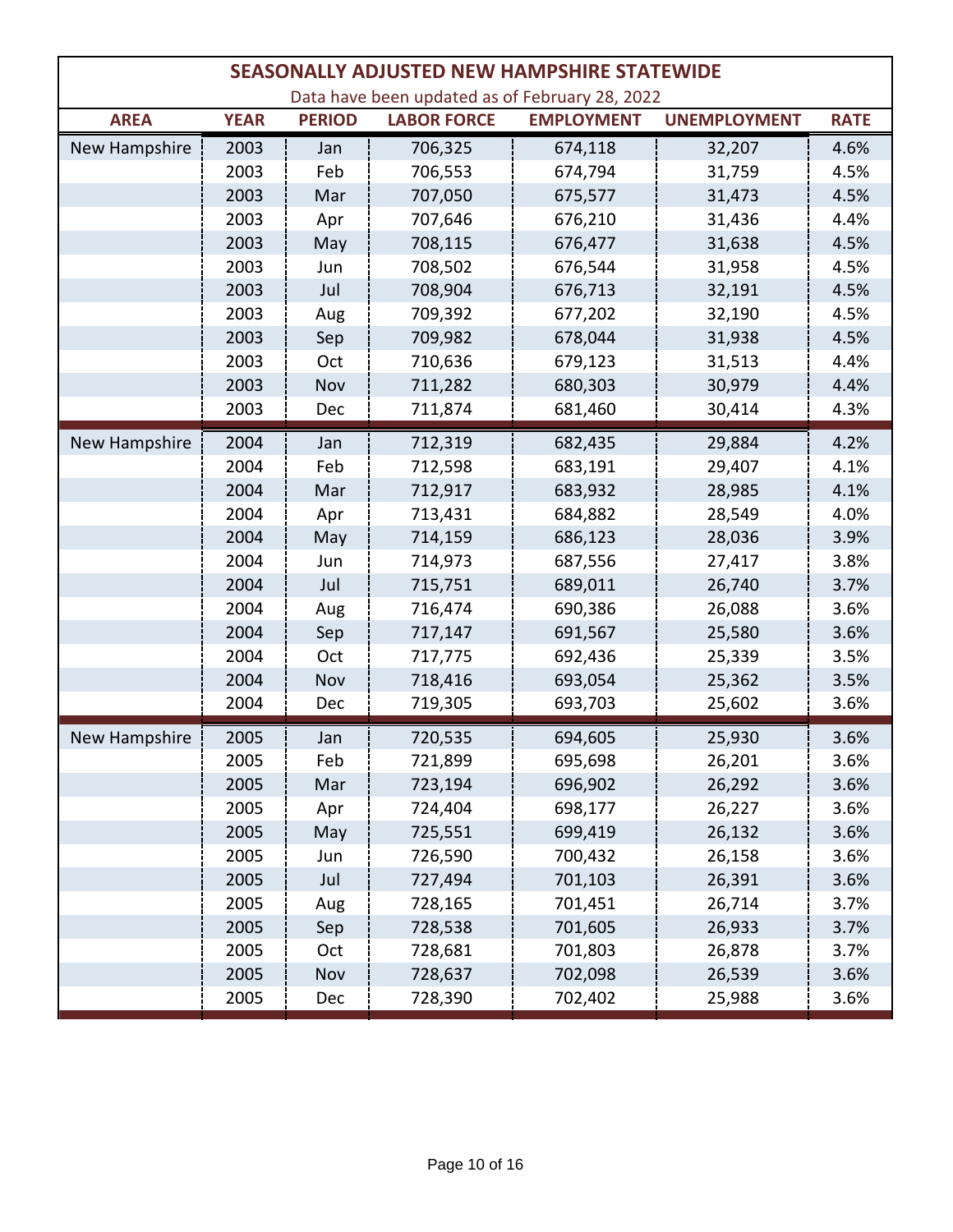|               | <b>SEASONALLY ADJUSTED NEW HAMPSHIRE STATEWIDE</b> |               |                    |                                                |                     |             |  |  |  |  |
|---------------|----------------------------------------------------|---------------|--------------------|------------------------------------------------|---------------------|-------------|--|--|--|--|
|               |                                                    |               |                    | Data have been updated as of February 28, 2022 |                     |             |  |  |  |  |
| <b>AREA</b>   | <b>YEAR</b>                                        | <b>PERIOD</b> | <b>LABOR FORCE</b> | <b>EMPLOYMENT</b>                              | <b>UNEMPLOYMENT</b> | <b>RATE</b> |  |  |  |  |
| New Hampshire | 2003                                               | Jan           | 706,325            | 674,118                                        | 32,207              | 4.6%        |  |  |  |  |
|               | 2003                                               | Feb           | 706,553            | 674,794                                        | 31,759              | 4.5%        |  |  |  |  |
|               | 2003                                               | Mar           | 707,050            | 675,577                                        | 31,473              | 4.5%        |  |  |  |  |
|               | 2003                                               | Apr           | 707,646            | 676,210                                        | 31,436              | 4.4%        |  |  |  |  |
|               | 2003                                               | May           | 708,115            | 676,477                                        | 31,638              | 4.5%        |  |  |  |  |
|               | 2003                                               | Jun           | 708,502            | 676,544                                        | 31,958              | 4.5%        |  |  |  |  |
|               | 2003                                               | Jul           | 708,904            | 676,713                                        | 32,191              | 4.5%        |  |  |  |  |
|               | 2003                                               | Aug           | 709,392            | 677,202                                        | 32,190              | 4.5%        |  |  |  |  |
|               | 2003                                               | Sep           | 709,982            | 678,044                                        | 31,938              | 4.5%        |  |  |  |  |
|               | 2003                                               | Oct           | 710,636            | 679,123                                        | 31,513              | 4.4%        |  |  |  |  |
|               | 2003                                               | Nov           | 711,282            | 680,303                                        | 30,979              | 4.4%        |  |  |  |  |
|               | 2003                                               | Dec           | 711,874            | 681,460                                        | 30,414              | 4.3%        |  |  |  |  |
| New Hampshire | 2004                                               | Jan           | 712,319            | 682,435                                        | 29,884              | 4.2%        |  |  |  |  |
|               | 2004                                               | Feb           | 712,598            | 683,191                                        | 29,407              | 4.1%        |  |  |  |  |
|               | 2004                                               | Mar           | 712,917            | 683,932                                        | 28,985              | 4.1%        |  |  |  |  |
|               | 2004                                               | Apr           | 713,431            | 684,882                                        | 28,549              | 4.0%        |  |  |  |  |
|               | 2004                                               | May           | 714,159            | 686,123                                        | 28,036              | 3.9%        |  |  |  |  |
|               | 2004                                               | Jun           | 714,973            | 687,556                                        | 27,417              | 3.8%        |  |  |  |  |
|               | 2004                                               | Jul           | 715,751            | 689,011                                        | 26,740              | 3.7%        |  |  |  |  |
|               | 2004                                               | Aug           | 716,474            | 690,386                                        | 26,088              | 3.6%        |  |  |  |  |
|               | 2004                                               | Sep           | 717,147            | 691,567                                        | 25,580              | 3.6%        |  |  |  |  |
|               | 2004                                               | Oct           | 717,775            | 692,436                                        | 25,339              | 3.5%        |  |  |  |  |
|               | 2004                                               | Nov           | 718,416            | 693,054                                        | 25,362              | 3.5%        |  |  |  |  |
|               | 2004                                               | Dec           | 719,305            | 693,703                                        | 25,602              | 3.6%        |  |  |  |  |
| New Hampshire | 2005                                               | Jan           | 720,535            | 694,605                                        | 25,930              | 3.6%        |  |  |  |  |
|               | 2005                                               | Feb           | 721,899            | 695,698                                        | 26,201              | 3.6%        |  |  |  |  |
|               | 2005                                               | Mar           | 723,194            | 696,902                                        | 26,292              | 3.6%        |  |  |  |  |
|               | 2005                                               | Apr           | 724,404            | 698,177                                        | 26,227              | 3.6%        |  |  |  |  |
|               | 2005                                               | May           | 725,551            | 699,419                                        | 26,132              | 3.6%        |  |  |  |  |
|               | 2005                                               | Jun           | 726,590            | 700,432                                        | 26,158              | 3.6%        |  |  |  |  |
|               | 2005                                               | Jul           | 727,494            | 701,103                                        | 26,391              | 3.6%        |  |  |  |  |
|               | 2005                                               | Aug           | 728,165            | 701,451                                        | 26,714              | 3.7%        |  |  |  |  |
|               | 2005                                               | Sep           | 728,538            | 701,605                                        | 26,933              | 3.7%        |  |  |  |  |
|               | 2005                                               | Oct           | 728,681            | 701,803                                        | 26,878              | 3.7%        |  |  |  |  |
|               | 2005                                               | Nov           | 728,637            | 702,098                                        | 26,539              | 3.6%        |  |  |  |  |
|               | 2005                                               | Dec           | 728,390            | 702,402                                        | 25,988              | 3.6%        |  |  |  |  |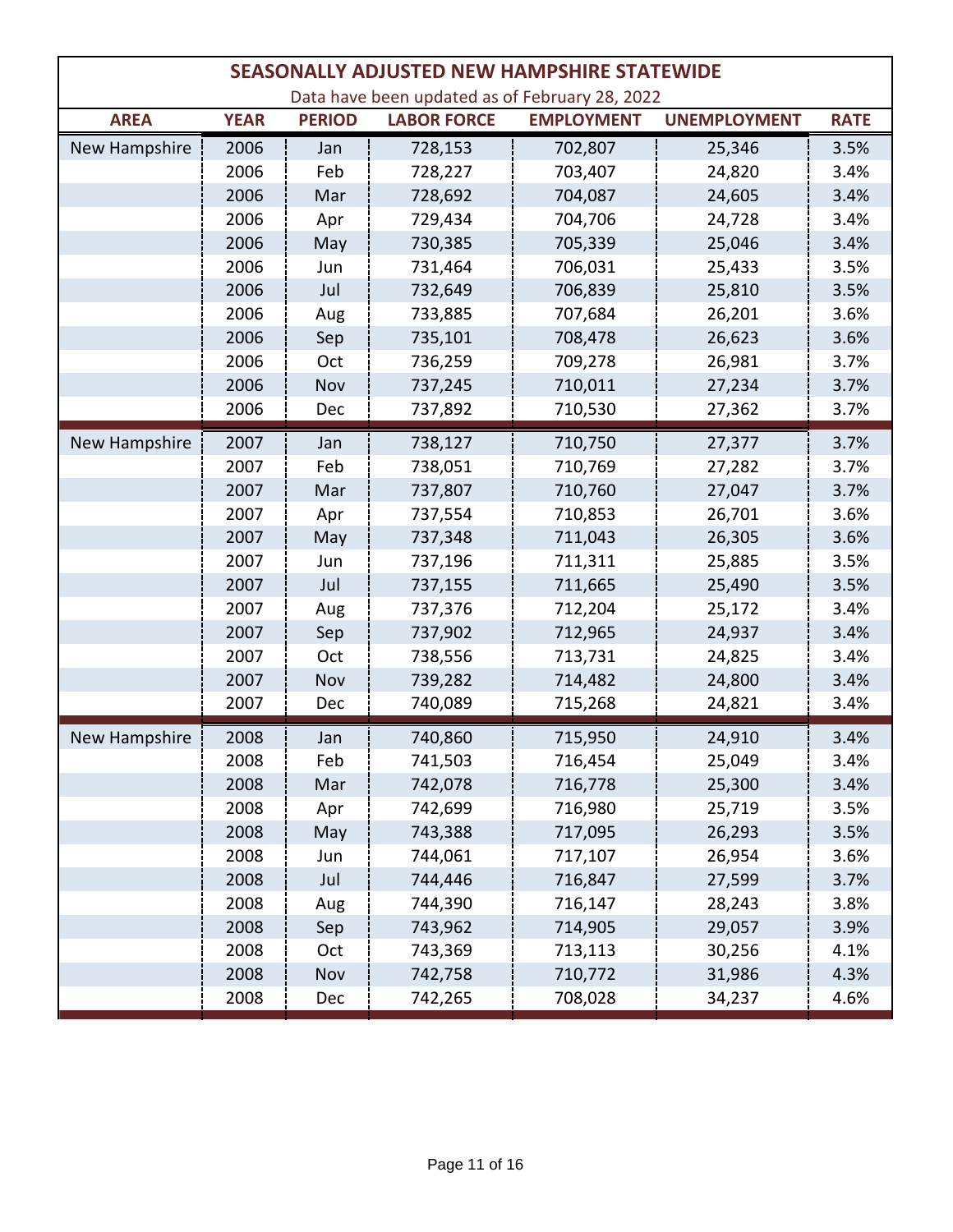|               |             |               |                    | <b>SEASONALLY ADJUSTED NEW HAMPSHIRE STATEWIDE</b> |                     |             |
|---------------|-------------|---------------|--------------------|----------------------------------------------------|---------------------|-------------|
|               |             |               |                    | Data have been updated as of February 28, 2022     |                     |             |
| <b>AREA</b>   | <b>YEAR</b> | <b>PERIOD</b> | <b>LABOR FORCE</b> | <b>EMPLOYMENT</b>                                  | <b>UNEMPLOYMENT</b> | <b>RATE</b> |
| New Hampshire | 2006        | Jan           | 728,153            | 702,807                                            | 25,346              | 3.5%        |
|               | 2006        | Feb           | 728,227            | 703,407                                            | 24,820              | 3.4%        |
|               | 2006        | Mar           | 728,692            | 704,087                                            | 24,605              | 3.4%        |
|               | 2006        | Apr           | 729,434            | 704,706                                            | 24,728              | 3.4%        |
|               | 2006        | May           | 730,385            | 705,339                                            | 25,046              | 3.4%        |
|               | 2006        | Jun           | 731,464            | 706,031                                            | 25,433              | 3.5%        |
|               | 2006        | Jul           | 732,649            | 706,839                                            | 25,810              | 3.5%        |
|               | 2006        | Aug           | 733,885            | 707,684                                            | 26,201              | 3.6%        |
|               | 2006        | Sep           | 735,101            | 708,478                                            | 26,623              | 3.6%        |
|               | 2006        | Oct           | 736,259            | 709,278                                            | 26,981              | 3.7%        |
|               | 2006        | Nov           | 737,245            | 710,011                                            | 27,234              | 3.7%        |
|               | 2006        | Dec           | 737,892            | 710,530                                            | 27,362              | 3.7%        |
| New Hampshire | 2007        | Jan           | 738,127            | 710,750                                            | 27,377              | 3.7%        |
|               | 2007        | Feb           | 738,051            | 710,769                                            | 27,282              | 3.7%        |
|               | 2007        | Mar           | 737,807            | 710,760                                            | 27,047              | 3.7%        |
|               | 2007        | Apr           | 737,554            | 710,853                                            | 26,701              | 3.6%        |
|               | 2007        | May           | 737,348            | 711,043                                            | 26,305              | 3.6%        |
|               | 2007        | Jun           | 737,196            | 711,311                                            | 25,885              | 3.5%        |
|               | 2007        | Jul           | 737,155            | 711,665                                            | 25,490              | 3.5%        |
|               | 2007        | Aug           | 737,376            | 712,204                                            | 25,172              | 3.4%        |
|               | 2007        | Sep           | 737,902            | 712,965                                            | 24,937              | 3.4%        |
|               | 2007        | Oct           | 738,556            | 713,731                                            | 24,825              | 3.4%        |
|               | 2007        | Nov           | 739,282            | 714,482                                            | 24,800              | 3.4%        |
|               | 2007        | Dec           | 740,089            | 715,268                                            | 24,821              | 3.4%        |
| New Hampshire | 2008        | Jan           | 740,860            | 715,950                                            | 24,910              | 3.4%        |
|               | 2008        | Feb           | 741,503            | 716,454                                            | 25,049              | 3.4%        |
|               | 2008        | Mar           | 742,078            | 716,778                                            | 25,300              | 3.4%        |
|               | 2008        | Apr           | 742,699            | 716,980                                            | 25,719              | 3.5%        |
|               | 2008        | May           | 743,388            | 717,095                                            | 26,293              | 3.5%        |
|               | 2008        | Jun           | 744,061            | 717,107                                            | 26,954              | 3.6%        |
|               | 2008        | Jul           | 744,446            | 716,847                                            | 27,599              | 3.7%        |
|               | 2008        | Aug           | 744,390            | 716,147                                            | 28,243              | 3.8%        |
|               | 2008        | Sep           | 743,962            | 714,905                                            | 29,057              | 3.9%        |
|               | 2008        | Oct           | 743,369            | 713,113                                            | 30,256              | 4.1%        |
|               | 2008        | Nov           | 742,758            | 710,772                                            | 31,986              | 4.3%        |
|               | 2008        | Dec           | 742,265            | 708,028                                            | 34,237              | 4.6%        |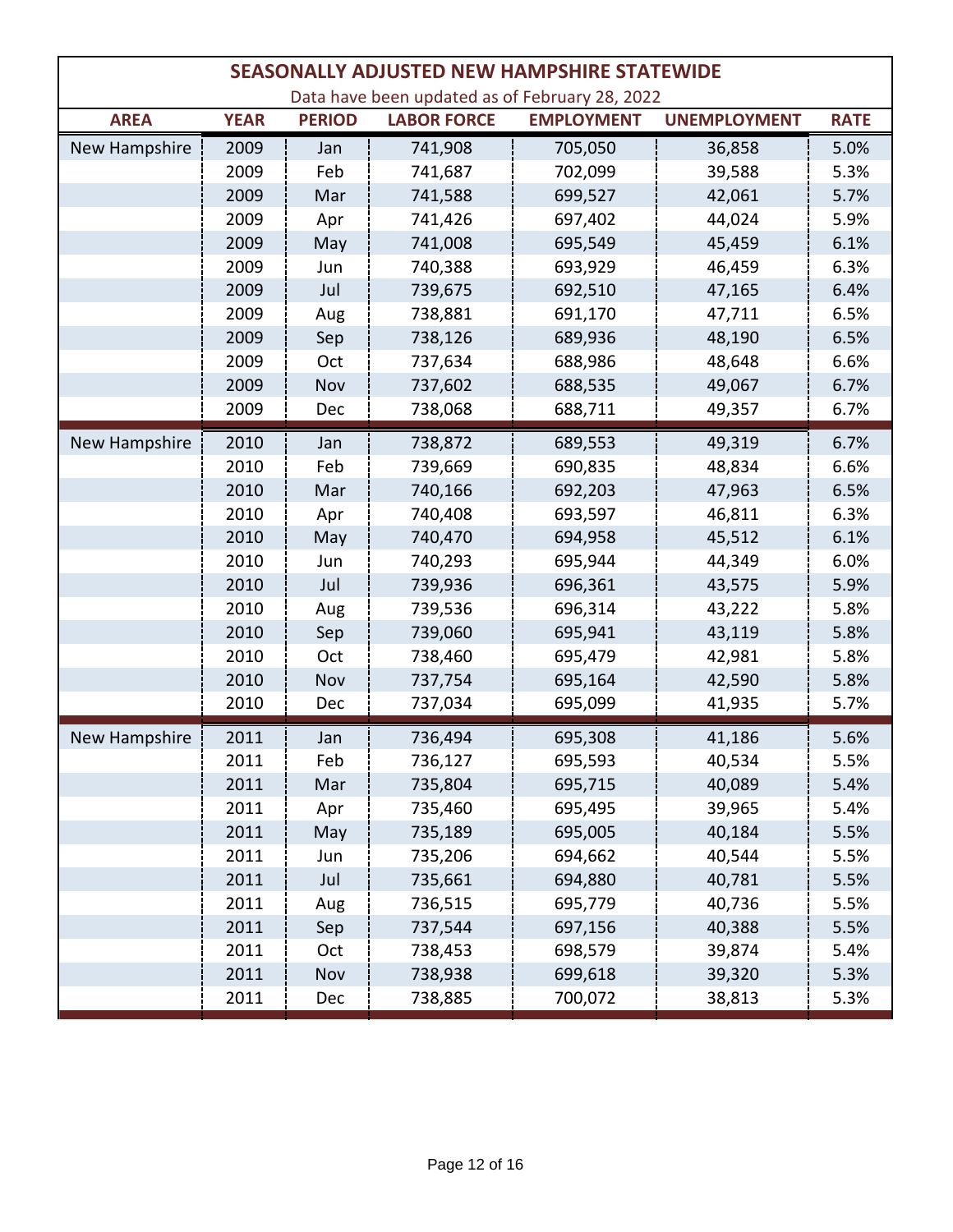|               | SEASONALLY ADJUSTED NEW HAMPSHIRE STATEWIDE |               |                    |                                                |                     |             |  |  |  |  |
|---------------|---------------------------------------------|---------------|--------------------|------------------------------------------------|---------------------|-------------|--|--|--|--|
|               |                                             |               |                    | Data have been updated as of February 28, 2022 |                     |             |  |  |  |  |
| <b>AREA</b>   | <b>YEAR</b>                                 | <b>PERIOD</b> | <b>LABOR FORCE</b> | <b>EMPLOYMENT</b>                              | <b>UNEMPLOYMENT</b> | <b>RATE</b> |  |  |  |  |
| New Hampshire | 2009                                        | Jan           | 741,908            | 705,050                                        | 36,858              | 5.0%        |  |  |  |  |
|               | 2009                                        | Feb           | 741,687            | 702,099                                        | 39,588              | 5.3%        |  |  |  |  |
|               | 2009                                        | Mar           | 741,588            | 699,527                                        | 42,061              | 5.7%        |  |  |  |  |
|               | 2009                                        | Apr           | 741,426            | 697,402                                        | 44,024              | 5.9%        |  |  |  |  |
|               | 2009                                        | May           | 741,008            | 695,549                                        | 45,459              | 6.1%        |  |  |  |  |
|               | 2009                                        | Jun           | 740,388            | 693,929                                        | 46,459              | 6.3%        |  |  |  |  |
|               | 2009                                        | Jul           | 739,675            | 692,510                                        | 47,165              | 6.4%        |  |  |  |  |
|               | 2009                                        | Aug           | 738,881            | 691,170                                        | 47,711              | 6.5%        |  |  |  |  |
|               | 2009                                        | Sep           | 738,126            | 689,936                                        | 48,190              | 6.5%        |  |  |  |  |
|               | 2009                                        | Oct           | 737,634            | 688,986                                        | 48,648              | 6.6%        |  |  |  |  |
|               | 2009                                        | Nov           | 737,602            | 688,535                                        | 49,067              | 6.7%        |  |  |  |  |
|               | 2009                                        | Dec           | 738,068            | 688,711                                        | 49,357              | 6.7%        |  |  |  |  |
| New Hampshire | 2010                                        | Jan           | 738,872            | 689,553                                        | 49,319              | 6.7%        |  |  |  |  |
|               | 2010                                        | Feb           | 739,669            | 690,835                                        | 48,834              | 6.6%        |  |  |  |  |
|               | 2010                                        | Mar           | 740,166            | 692,203                                        | 47,963              | 6.5%        |  |  |  |  |
|               | 2010                                        | Apr           | 740,408            | 693,597                                        | 46,811              | 6.3%        |  |  |  |  |
|               | 2010                                        | May           | 740,470            | 694,958                                        | 45,512              | 6.1%        |  |  |  |  |
|               | 2010                                        | Jun           | 740,293            | 695,944                                        | 44,349              | 6.0%        |  |  |  |  |
|               | 2010                                        | Jul           | 739,936            | 696,361                                        | 43,575              | 5.9%        |  |  |  |  |
|               | 2010                                        | Aug           | 739,536            | 696,314                                        | 43,222              | 5.8%        |  |  |  |  |
|               | 2010                                        | Sep           | 739,060            | 695,941                                        | 43,119              | 5.8%        |  |  |  |  |
|               | 2010                                        | Oct           | 738,460            | 695,479                                        | 42,981              | 5.8%        |  |  |  |  |
|               | 2010                                        | Nov           | 737,754            | 695,164                                        | 42,590              | 5.8%        |  |  |  |  |
|               | 2010                                        | Dec           | 737,034            | 695,099                                        | 41,935              | 5.7%        |  |  |  |  |
| New Hampshire | 2011                                        | Jan           | 736,494            | 695,308                                        | 41,186              | 5.6%        |  |  |  |  |
|               | 2011                                        | Feb           | 736,127            | 695,593                                        | 40,534              | 5.5%        |  |  |  |  |
|               | 2011                                        | Mar           | 735,804            | 695,715                                        | 40,089              | 5.4%        |  |  |  |  |
|               | 2011                                        | Apr           | 735,460            | 695,495                                        | 39,965              | 5.4%        |  |  |  |  |
|               | 2011                                        | May           | 735,189            | 695,005                                        | 40,184              | 5.5%        |  |  |  |  |
|               | 2011                                        | Jun           | 735,206            | 694,662                                        | 40,544              | 5.5%        |  |  |  |  |
|               | 2011                                        | Jul           | 735,661            | 694,880                                        | 40,781              | 5.5%        |  |  |  |  |
|               | 2011                                        | Aug           | 736,515            | 695,779                                        | 40,736              | 5.5%        |  |  |  |  |
|               | 2011                                        | Sep           | 737,544            | 697,156                                        | 40,388              | 5.5%        |  |  |  |  |
|               | 2011                                        | Oct           | 738,453            | 698,579                                        | 39,874              | 5.4%        |  |  |  |  |
|               | 2011                                        | Nov           | 738,938            | 699,618                                        | 39,320              | 5.3%        |  |  |  |  |
|               | 2011                                        | Dec           | 738,885            | 700,072                                        | 38,813              | 5.3%        |  |  |  |  |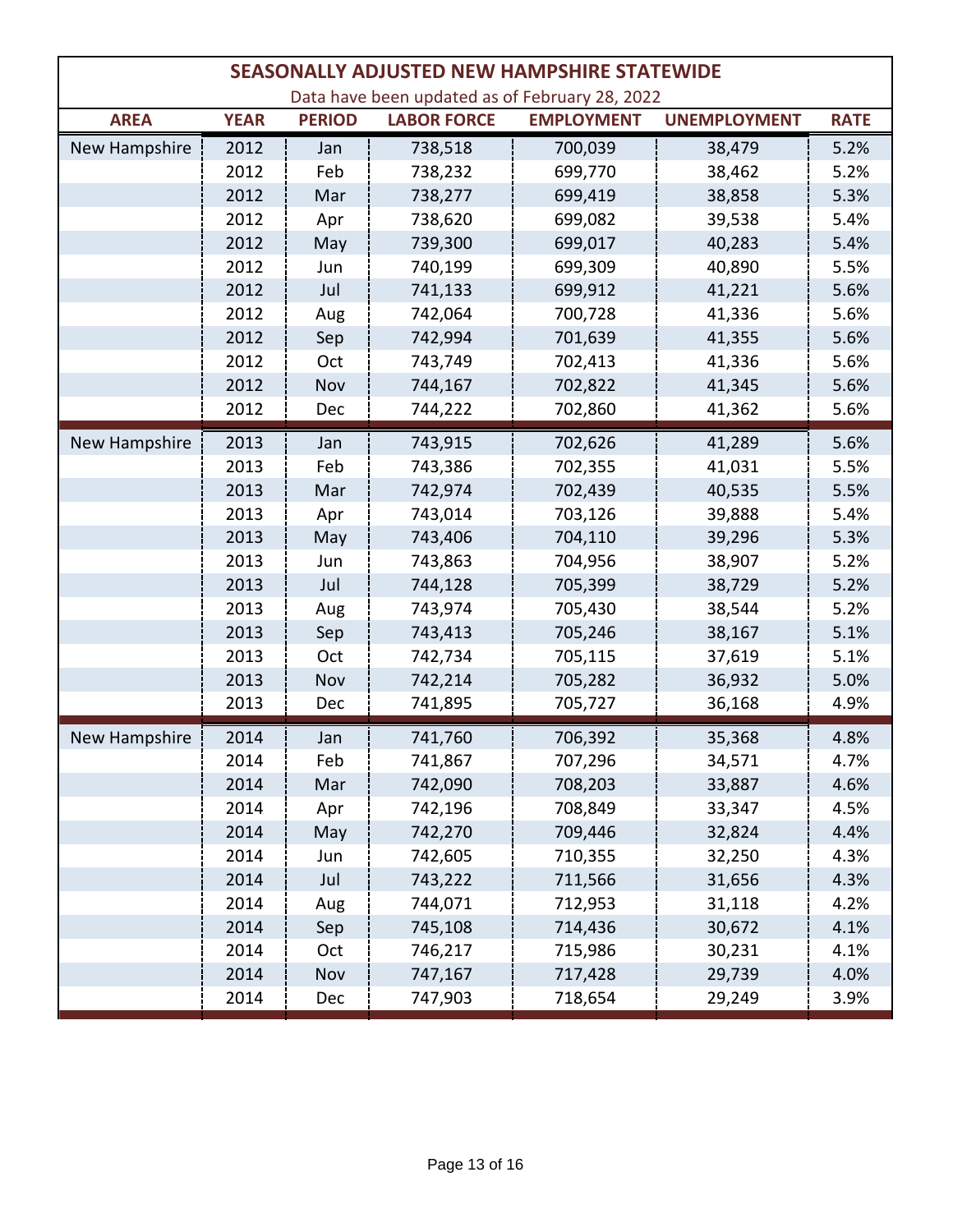| <b>SEASONALLY ADJUSTED NEW HAMPSHIRE STATEWIDE</b> |             |               |                    |                   |                     |             |  |
|----------------------------------------------------|-------------|---------------|--------------------|-------------------|---------------------|-------------|--|
| Data have been updated as of February 28, 2022     |             |               |                    |                   |                     |             |  |
| <b>AREA</b>                                        | <b>YEAR</b> | <b>PERIOD</b> | <b>LABOR FORCE</b> | <b>EMPLOYMENT</b> | <b>UNEMPLOYMENT</b> | <b>RATE</b> |  |
| New Hampshire                                      | 2012        | Jan           | 738,518            | 700,039           | 38,479              | 5.2%        |  |
|                                                    | 2012        | Feb           | 738,232            | 699,770           | 38,462              | 5.2%        |  |
|                                                    | 2012        | Mar           | 738,277            | 699,419           | 38,858              | 5.3%        |  |
|                                                    | 2012        | Apr           | 738,620            | 699,082           | 39,538              | 5.4%        |  |
|                                                    | 2012        | May           | 739,300            | 699,017           | 40,283              | 5.4%        |  |
|                                                    | 2012        | Jun           | 740,199            | 699,309           | 40,890              | 5.5%        |  |
|                                                    | 2012        | Jul           | 741,133            | 699,912           | 41,221              | 5.6%        |  |
|                                                    | 2012        | Aug           | 742,064            | 700,728           | 41,336              | 5.6%        |  |
|                                                    | 2012        | Sep           | 742,994            | 701,639           | 41,355              | 5.6%        |  |
|                                                    | 2012        | Oct           | 743,749            | 702,413           | 41,336              | 5.6%        |  |
|                                                    | 2012        | Nov           | 744,167            | 702,822           | 41,345              | 5.6%        |  |
|                                                    | 2012        | Dec           | 744,222            | 702,860           | 41,362              | 5.6%        |  |
| New Hampshire                                      | 2013        | Jan           | 743,915            | 702,626           | 41,289              | 5.6%        |  |
|                                                    | 2013        | Feb           | 743,386            | 702,355           | 41,031              | 5.5%        |  |
|                                                    | 2013        | Mar           | 742,974            | 702,439           | 40,535              | 5.5%        |  |
|                                                    | 2013        | Apr           | 743,014            | 703,126           | 39,888              | 5.4%        |  |
|                                                    | 2013        | May           | 743,406            | 704,110           | 39,296              | 5.3%        |  |
|                                                    | 2013        | Jun           | 743,863            | 704,956           | 38,907              | 5.2%        |  |
|                                                    | 2013        | Jul           | 744,128            | 705,399           | 38,729              | 5.2%        |  |
|                                                    | 2013        | Aug           | 743,974            | 705,430           | 38,544              | 5.2%        |  |
|                                                    | 2013        | Sep           | 743,413            | 705,246           | 38,167              | 5.1%        |  |
|                                                    | 2013        | Oct           | 742,734            | 705,115           | 37,619              | 5.1%        |  |
|                                                    | 2013        | Nov           | 742,214            | 705,282           | 36,932              | 5.0%        |  |
|                                                    | 2013        | Dec           | 741,895            | 705,727           | 36,168              | 4.9%        |  |
| New Hampshire                                      | 2014        | Jan           | 741,760            | 706,392           | 35,368              | 4.8%        |  |
|                                                    | 2014        | Feb           | 741,867            | 707,296           | 34,571              | 4.7%        |  |
|                                                    | 2014        | Mar           | 742,090            | 708,203           | 33,887              | 4.6%        |  |
|                                                    | 2014        | Apr           | 742,196            | 708,849           | 33,347              | 4.5%        |  |
|                                                    | 2014        | May           | 742,270            | 709,446           | 32,824              | 4.4%        |  |
|                                                    | 2014        | Jun           | 742,605            | 710,355           | 32,250              | 4.3%        |  |
|                                                    | 2014        | Jul           | 743,222            | 711,566           | 31,656              | 4.3%        |  |
|                                                    | 2014        | Aug           | 744,071            | 712,953           | 31,118              | 4.2%        |  |
|                                                    | 2014        | Sep           | 745,108            | 714,436           | 30,672              | 4.1%        |  |
|                                                    | 2014        | Oct           | 746,217            | 715,986           | 30,231              | 4.1%        |  |
|                                                    | 2014        | Nov           | 747,167            | 717,428           | 29,739              | 4.0%        |  |
|                                                    | 2014        | Dec           | 747,903            | 718,654           | 29,249              | 3.9%        |  |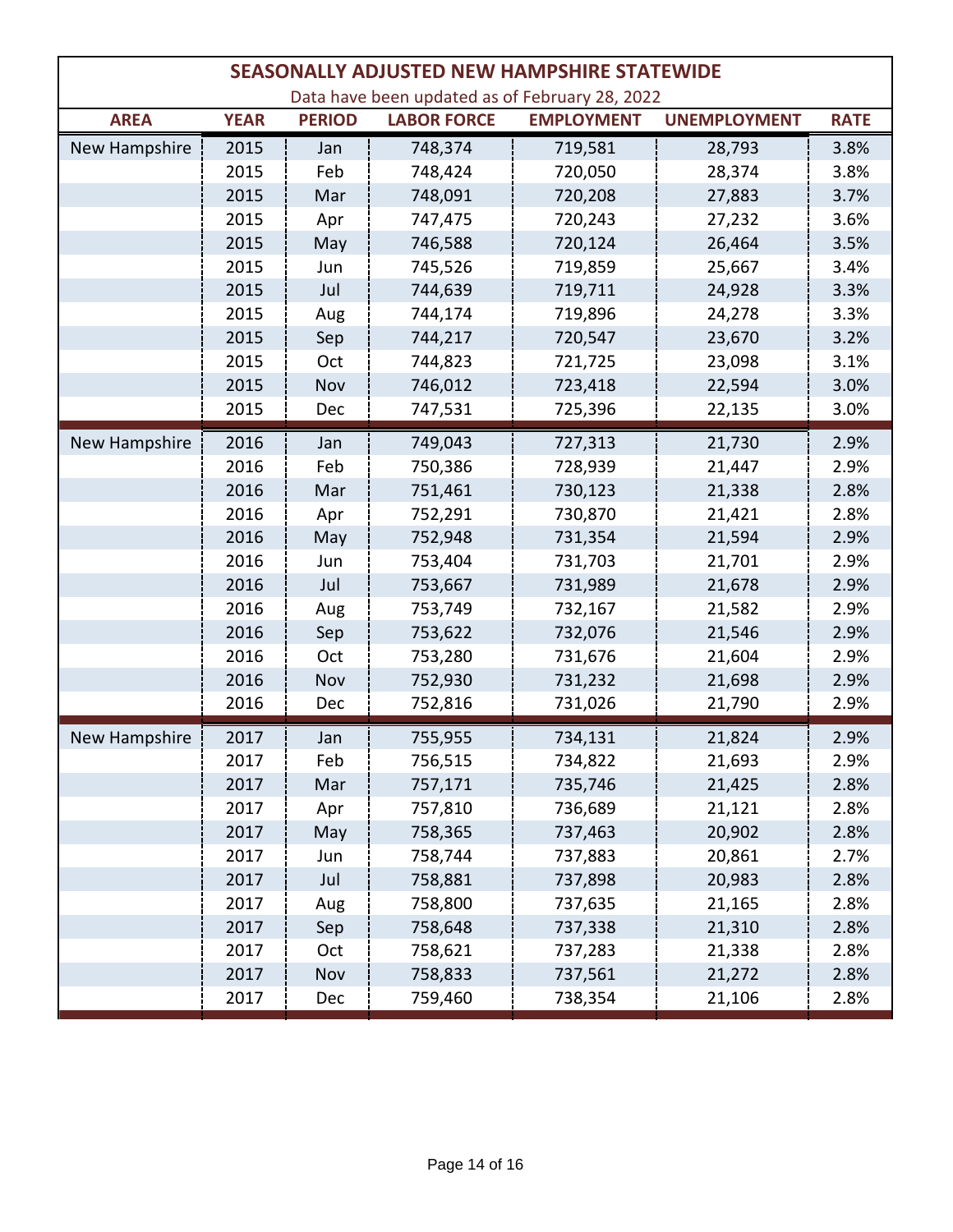| <b>SEASONALLY ADJUSTED NEW HAMPSHIRE STATEWIDE</b> |             |               |                    |                   |                     |             |  |
|----------------------------------------------------|-------------|---------------|--------------------|-------------------|---------------------|-------------|--|
| Data have been updated as of February 28, 2022     |             |               |                    |                   |                     |             |  |
| <b>AREA</b>                                        | <b>YEAR</b> | <b>PERIOD</b> | <b>LABOR FORCE</b> | <b>EMPLOYMENT</b> | <b>UNEMPLOYMENT</b> | <b>RATE</b> |  |
| <b>New Hampshire</b>                               | 2015        | Jan           | 748,374            | 719,581           | 28,793              | 3.8%        |  |
|                                                    | 2015        | Feb           | 748,424            | 720,050           | 28,374              | 3.8%        |  |
|                                                    | 2015        | Mar           | 748,091            | 720,208           | 27,883              | 3.7%        |  |
|                                                    | 2015        | Apr           | 747,475            | 720,243           | 27,232              | 3.6%        |  |
|                                                    | 2015        | May           | 746,588            | 720,124           | 26,464              | 3.5%        |  |
|                                                    | 2015        | Jun           | 745,526            | 719,859           | 25,667              | 3.4%        |  |
|                                                    | 2015        | Jul           | 744,639            | 719,711           | 24,928              | 3.3%        |  |
|                                                    | 2015        | Aug           | 744,174            | 719,896           | 24,278              | 3.3%        |  |
|                                                    | 2015        | Sep           | 744,217            | 720,547           | 23,670              | 3.2%        |  |
|                                                    | 2015        | Oct           | 744,823            | 721,725           | 23,098              | 3.1%        |  |
|                                                    | 2015        | Nov           | 746,012            | 723,418           | 22,594              | 3.0%        |  |
|                                                    | 2015        | Dec           | 747,531            | 725,396           | 22,135              | 3.0%        |  |
| New Hampshire                                      | 2016        | Jan           | 749,043            | 727,313           | 21,730              | 2.9%        |  |
|                                                    | 2016        | Feb           | 750,386            | 728,939           | 21,447              | 2.9%        |  |
|                                                    | 2016        | Mar           | 751,461            | 730,123           | 21,338              | 2.8%        |  |
|                                                    | 2016        | Apr           | 752,291            | 730,870           | 21,421              | 2.8%        |  |
|                                                    | 2016        | May           | 752,948            | 731,354           | 21,594              | 2.9%        |  |
|                                                    | 2016        | Jun           | 753,404            | 731,703           | 21,701              | 2.9%        |  |
|                                                    | 2016        | Jul           | 753,667            | 731,989           | 21,678              | 2.9%        |  |
|                                                    | 2016        | Aug           | 753,749            | 732,167           | 21,582              | 2.9%        |  |
|                                                    | 2016        | Sep           | 753,622            | 732,076           | 21,546              | 2.9%        |  |
|                                                    | 2016        | Oct           | 753,280            | 731,676           | 21,604              | 2.9%        |  |
|                                                    | 2016        | Nov           | 752,930            | 731,232           | 21,698              | 2.9%        |  |
|                                                    | 2016        | Dec           | 752,816            | 731,026           | 21,790              | 2.9%        |  |
| New Hampshire                                      | 2017        | Jan           | 755,955            | 734,131           | 21,824              | 2.9%        |  |
|                                                    | 2017        | Feb           | 756,515            | 734,822           | 21,693              | 2.9%        |  |
|                                                    | 2017        | Mar           | 757,171            | 735,746           | 21,425              | 2.8%        |  |
|                                                    | 2017        | Apr           | 757,810            | 736,689           | 21,121              | 2.8%        |  |
|                                                    | 2017        | May           | 758,365            | 737,463           | 20,902              | 2.8%        |  |
|                                                    | 2017        | Jun           | 758,744            | 737,883           | 20,861              | 2.7%        |  |
|                                                    | 2017        | Jul           | 758,881            | 737,898           | 20,983              | 2.8%        |  |
|                                                    | 2017        | Aug           | 758,800            | 737,635           | 21,165              | 2.8%        |  |
|                                                    | 2017        | Sep           | 758,648            | 737,338           | 21,310              | 2.8%        |  |
|                                                    | 2017        | Oct           | 758,621            | 737,283           | 21,338              | 2.8%        |  |
|                                                    | 2017        | Nov           | 758,833            | 737,561           | 21,272              | 2.8%        |  |
|                                                    | 2017        | Dec           | 759,460            | 738,354           | 21,106              | 2.8%        |  |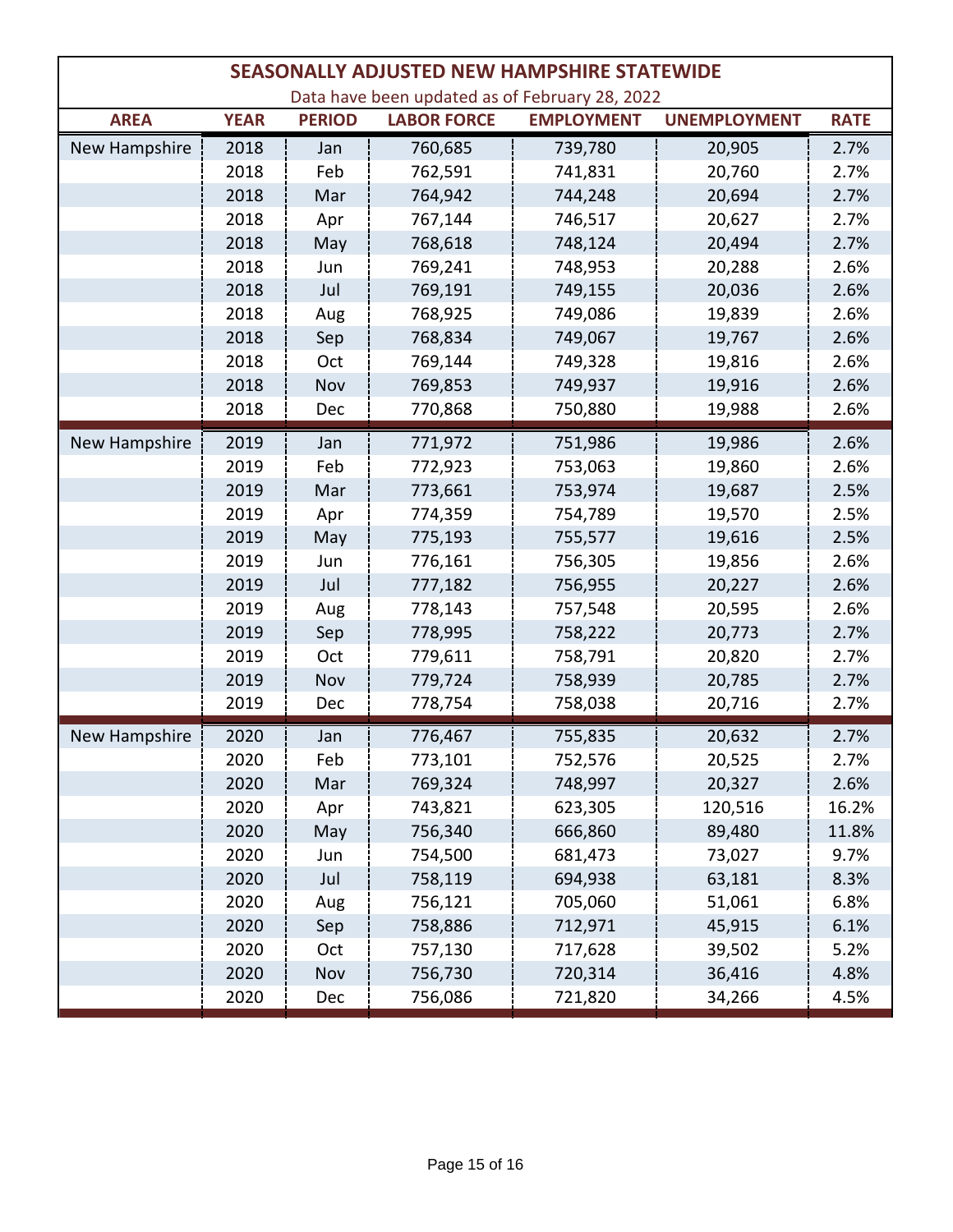| <b>SEASONALLY ADJUSTED NEW HAMPSHIRE STATEWIDE</b> |             |               |                    |                   |                     |             |
|----------------------------------------------------|-------------|---------------|--------------------|-------------------|---------------------|-------------|
| Data have been updated as of February 28, 2022     |             |               |                    |                   |                     |             |
| <b>AREA</b>                                        | <b>YEAR</b> | <b>PERIOD</b> | <b>LABOR FORCE</b> | <b>EMPLOYMENT</b> | <b>UNEMPLOYMENT</b> | <b>RATE</b> |
| <b>New Hampshire</b>                               | 2018        | Jan           | 760,685            | 739,780           | 20,905              | 2.7%        |
|                                                    | 2018        | Feb           | 762,591            | 741,831           | 20,760              | 2.7%        |
|                                                    | 2018        | Mar           | 764,942            | 744,248           | 20,694              | 2.7%        |
|                                                    | 2018        | Apr           | 767,144            | 746,517           | 20,627              | 2.7%        |
|                                                    | 2018        | May           | 768,618            | 748,124           | 20,494              | 2.7%        |
|                                                    | 2018        | Jun           | 769,241            | 748,953           | 20,288              | 2.6%        |
|                                                    | 2018        | Jul           | 769,191            | 749,155           | 20,036              | 2.6%        |
|                                                    | 2018        | Aug           | 768,925            | 749,086           | 19,839              | 2.6%        |
|                                                    | 2018        | Sep           | 768,834            | 749,067           | 19,767              | 2.6%        |
|                                                    | 2018        | Oct           | 769,144            | 749,328           | 19,816              | 2.6%        |
|                                                    | 2018        | Nov           | 769,853            | 749,937           | 19,916              | 2.6%        |
|                                                    | 2018        | Dec           | 770,868            | 750,880           | 19,988              | 2.6%        |
| New Hampshire                                      | 2019        | Jan           | 771,972            | 751,986           | 19,986              | 2.6%        |
|                                                    | 2019        | Feb           | 772,923            | 753,063           | 19,860              | 2.6%        |
|                                                    | 2019        | Mar           | 773,661            | 753,974           | 19,687              | 2.5%        |
|                                                    | 2019        | Apr           | 774,359            | 754,789           | 19,570              | 2.5%        |
|                                                    | 2019        | May           | 775,193            | 755,577           | 19,616              | 2.5%        |
|                                                    | 2019        | Jun           | 776,161            | 756,305           | 19,856              | 2.6%        |
|                                                    | 2019        | Jul           | 777,182            | 756,955           | 20,227              | 2.6%        |
|                                                    | 2019        | Aug           | 778,143            | 757,548           | 20,595              | 2.6%        |
|                                                    | 2019        | Sep           | 778,995            | 758,222           | 20,773              | 2.7%        |
|                                                    | 2019        | Oct           | 779,611            | 758,791           | 20,820              | 2.7%        |
|                                                    | 2019        | Nov           | 779,724            | 758,939           | 20,785              | 2.7%        |
|                                                    | 2019        | Dec           | 778,754            | 758,038           | 20,716              | 2.7%        |
| New Hampshire                                      | 2020        | Jan           | 776,467            | 755,835           | 20,632              | 2.7%        |
|                                                    | 2020        | Feb           | 773,101            | 752,576           | 20,525              | 2.7%        |
|                                                    | 2020        | Mar           | 769,324            | 748,997           | 20,327              | 2.6%        |
|                                                    | 2020        | Apr           | 743,821            | 623,305           | 120,516             | 16.2%       |
|                                                    | 2020        | May           | 756,340            | 666,860           | 89,480              | 11.8%       |
|                                                    | 2020        | Jun           | 754,500            | 681,473           | 73,027              | 9.7%        |
|                                                    | 2020        | Jul           | 758,119            | 694,938           | 63,181              | 8.3%        |
|                                                    | 2020        | Aug           | 756,121            | 705,060           | 51,061              | 6.8%        |
|                                                    | 2020        | Sep           | 758,886            | 712,971           | 45,915              | 6.1%        |
|                                                    | 2020        | Oct           | 757,130            | 717,628           | 39,502              | 5.2%        |
|                                                    | 2020        | Nov           | 756,730            | 720,314           | 36,416              | 4.8%        |
|                                                    | 2020        | Dec           | 756,086            | 721,820           | 34,266              | 4.5%        |